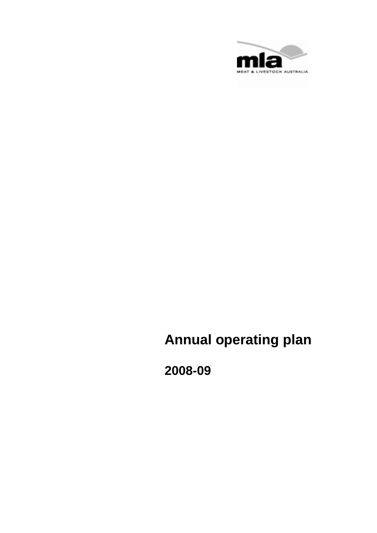

# **Annual operating plan**

**2008-09**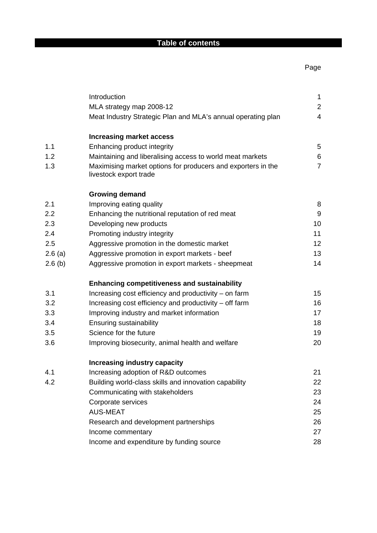## **Table of contents**

|        | Introduction<br>MLA strategy map 2008-12<br>Meat Industry Strategic Plan and MLA's annual operating plan | $\mathbf{1}$<br>$\overline{2}$<br>$\overline{4}$ |
|--------|----------------------------------------------------------------------------------------------------------|--------------------------------------------------|
|        | <b>Increasing market access</b>                                                                          |                                                  |
| 1.1    | Enhancing product integrity                                                                              | 5                                                |
| 1.2    | Maintaining and liberalising access to world meat markets                                                | $\,6$                                            |
| 1.3    | Maximising market options for producers and exporters in the<br>livestock export trade                   | $\overline{7}$                                   |
|        | <b>Growing demand</b>                                                                                    |                                                  |
| 2.1    | Improving eating quality                                                                                 | 8                                                |
| 2.2    | Enhancing the nutritional reputation of red meat                                                         | $9\,$                                            |
| 2.3    | Developing new products                                                                                  | 10                                               |
| 2.4    | Promoting industry integrity                                                                             | 11                                               |
| 2.5    | Aggressive promotion in the domestic market                                                              | 12                                               |
| 2.6(a) | Aggressive promotion in export markets - beef                                                            | 13                                               |
| 2.6(b) | Aggressive promotion in export markets - sheepmeat                                                       | 14                                               |
|        | <b>Enhancing competitiveness and sustainability</b>                                                      |                                                  |
| 3.1    | Increasing cost efficiency and productivity – on farm                                                    | 15                                               |
| 3.2    | Increasing cost efficiency and productivity – off farm                                                   | 16                                               |
| 3.3    | Improving industry and market information                                                                | 17                                               |
| 3.4    | <b>Ensuring sustainability</b>                                                                           | 18                                               |
| 3.5    | Science for the future                                                                                   | 19                                               |
| 3.6    | Improving biosecurity, animal health and welfare                                                         | 20                                               |
|        | <b>Increasing industry capacity</b>                                                                      |                                                  |
| 4.1    | Increasing adoption of R&D outcomes                                                                      | 21                                               |
| 4.2    | Building world-class skills and innovation capability                                                    | 22                                               |
|        | Communicating with stakeholders                                                                          | 23                                               |
|        | Corporate services                                                                                       | 24                                               |
|        | <b>AUS-MEAT</b>                                                                                          | 25                                               |
|        | Research and development partnerships                                                                    | 26                                               |
|        | Income commentary                                                                                        | 27                                               |
|        | Income and expenditure by funding source                                                                 | 28                                               |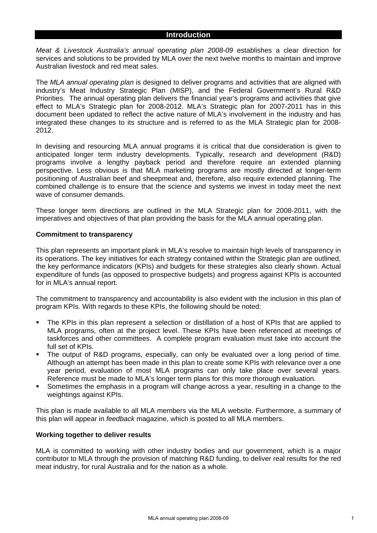## **Introduction**

*Meat & Livestock Australia's annual operating plan 2008-09* establishes a clear direction for services and solutions to be provided by MLA over the next twelve months to maintain and improve Australian livestock and red meat sales.

The *MLA annual operating plan* is designed to deliver programs and activities that are aligned with industry's Meat Industry Strategic Plan (MISP), and the Federal Government's Rural R&D Priorities. The annual operating plan delivers the financial year's programs and activities that give effect to MLA's Strategic plan for 2008-2012. MLA's Strategic plan for 2007-2011 has in this document been updated to reflect the active nature of MLA's involvement in the industry and has integrated these changes to its structure and is referred to as the MLA Strategic plan for 2008- 2012.

In devising and resourcing MLA annual programs it is critical that due consideration is given to anticipated longer term industry developments. Typically, research and development (R&D) programs involve a lengthy payback period and therefore require an extended planning perspective. Less obvious is that MLA marketing programs are mostly directed at longer-term positioning of Australian beef and sheepmeat and, therefore, also require extended planning. The combined challenge is to ensure that the science and systems we invest in today meet the next wave of consumer demands.

These longer term directions are outlined in the MLA Strategic plan for 2008-2011, with the imperatives and objectives of that plan providing the basis for the MLA annual operating plan.

#### **Commitment to transparency**

This plan represents an important plank in MLA's resolve to maintain high levels of transparency in its operations. The key initiatives for each strategy contained within the Strategic plan are outlined, the key performance indicators (KPIs) and budgets for these strategies also clearly shown. Actual expenditure of funds (as opposed to prospective budgets) and progress against KPIs is accounted for in MLA's annual report.

The commitment to transparency and accountability is also evident with the inclusion in this plan of program KPIs. With regards to these KPIs, the following should be noted:

- The KPIs in this plan represent a selection or distillation of a host of KPIs that are applied to MLA programs, often at the project level. These KPIs have been referenced at meetings of taskforces and other committees. A complete program evaluation must take into account the full set of KPIs.
- The output of R&D programs, especially, can only be evaluated over a long period of time. Although an attempt has been made in this plan to create some KPIs with relevance over a one year period, evaluation of most MLA programs can only take place over several years. Reference must be made to MLA's longer term plans for this more thorough evaluation.
- Sometimes the emphasis in a program will change across a year, resulting in a change to the weightings against KPIs.

This plan is made available to all MLA members via the MLA website. Furthermore, a summary of this plan will appear in *feedback* magazine, which is posted to all MLA members.

#### **Working together to deliver results**

MLA is committed to working with other industry bodies and our government, which is a major contributor to MLA through the provision of matching R&D funding, to deliver real results for the red meat industry, for rural Australia and for the nation as a whole.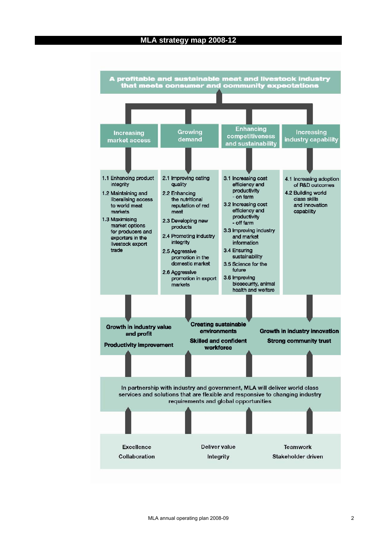## **MLA strategy map 2008-12**

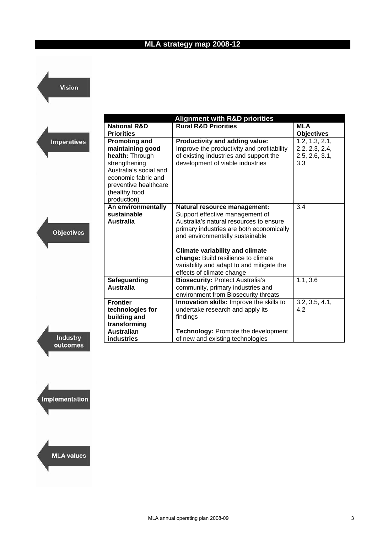## **MLA strategy map 2008-12**

Vision

|                                                                                                                                                                                                      | <b>Alignment with R&amp;D priorities</b>                                                                                                                                                                                                                                                                                |                                                           |
|------------------------------------------------------------------------------------------------------------------------------------------------------------------------------------------------------|-------------------------------------------------------------------------------------------------------------------------------------------------------------------------------------------------------------------------------------------------------------------------------------------------------------------------|-----------------------------------------------------------|
| <b>National R&amp;D</b><br><b>Priorities</b>                                                                                                                                                         | <b>Rural R&amp;D Priorities</b>                                                                                                                                                                                                                                                                                         | <b>MLA</b><br><b>Objectives</b>                           |
| <b>Promoting and</b><br>mperatives<br>maintaining good<br>health: Through<br>strengthening<br>Australia's social and<br>economic fabric and<br>preventive healthcare<br>(healthy food<br>production) | Productivity and adding value:<br>Improve the productivity and profitability<br>of existing industries and support the<br>development of viable industries                                                                                                                                                              | 1.2, 1.3, 2.1,<br>2.2, 2.3, 2.4,<br>2.5, 2.6, 3.1,<br>3.3 |
| An environmentally<br>sustainable<br><b>Australia</b><br>Objectives                                                                                                                                  | Natural resource management:<br>Support effective management of<br>Australia's natural resources to ensure<br>primary industries are both economically<br>and environmentally sustainable<br><b>Climate variability and climate</b><br>change: Build resilience to climate<br>variability and adapt to and mitigate the | 3.4                                                       |
| Safeguarding<br><b>Australia</b>                                                                                                                                                                     | effects of climate change<br><b>Biosecurity: Protect Australia's</b><br>community, primary industries and<br>environment from Biosecurity threats                                                                                                                                                                       | 1.1, 3.6                                                  |
| <b>Frontier</b><br>technologies for<br>building and<br>transforming                                                                                                                                  | Innovation skills: Improve the skills to<br>undertake research and apply its<br>findings                                                                                                                                                                                                                                | 3.2, 3.5, 4.1,<br>4.2                                     |
| <b>Australian</b><br>industries                                                                                                                                                                      | <b>Technology: Promote the development</b><br>of new and existing technologies                                                                                                                                                                                                                                          |                                                           |

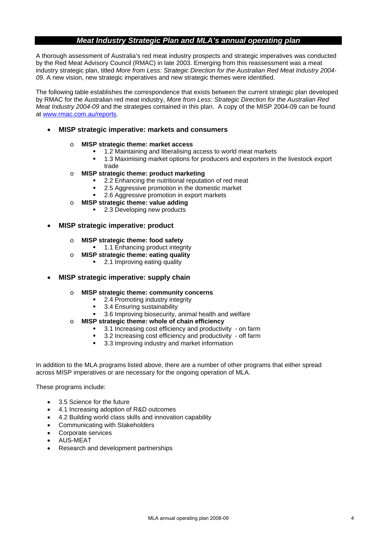## *Meat Industry Strategic Plan and MLA's annual operating plan*

A thorough assessment of Australia's red meat industry prospects and strategic imperatives was conducted by the Red Meat Advisory Council (RMAC) in late 2003. Emerging from this reassessment was a meat industry strategic plan, titled *More from Less: Strategic Direction for the Australian Red Meat Industry 2004- 09*. A new vision, new strategic imperatives and new strategic themes were identified.

The following table establishes the correspondence that exists between the current strategic plan developed by RMAC for the Australian red meat industry, *More from Less: Strategic Direction for the Australian Red Meat Industry 2004-09* and the strategies contained in this plan. A copy of the MISP 2004-09 can be found at [www.rmac.com.au/reports.](http://www.rmac.com.au/reports)

## • **MISP strategic imperative: markets and consumers**

- o **MISP strategic theme: market access** 
	- <sup>1</sup> 1.2 Maintaining and liberalising access to world meat markets
	- 1.3 Maximising market options for producers and exporters in the livestock export trade
- o **MISP strategic theme: product marketing** 
	- 2.2 Enhancing the nutritional reputation of red meat
	- 2.5 Aggressive promotion in the domestic market
	- 2.6 Aggressive promotion in export markets
- o **MISP strategic theme: value adding** 
	- 2.3 Developing new products
- **MISP strategic imperative: product** 
	- o **MISP strategic theme: food safety** 
		- 1.1 Enhancing product integrity
	- o **MISP strategic theme: eating quality** 
		- 2.1 Improving eating quality
- **MISP strategic imperative: supply chain** 
	- o **MISP strategic theme: community concerns** 
		- 2.4 Promoting industry integrity
		- 3.4 Ensuring sustainability
		- 3.6 Improving biosecurity, animal health and welfare
	- o **MISP strategic theme: whole of chain efficiency** 
		- 3.1 Increasing cost efficiency and productivity on farm
		- 3.2 Increasing cost efficiency and productivity off farm
		- 3.3 Improving industry and market information

In addition to the MLA programs listed above, there are a number of other programs that either spread across MISP imperatives or are necessary for the ongoing operation of MLA.

These programs include:

- 3.5 Science for the future
- 4.1 Increasing adoption of R&D outcomes
- 4.2 Building world class skills and innovation capability
- Communicating with Stakeholders
- Corporate services
- AUS-MEAT
- Research and development partnerships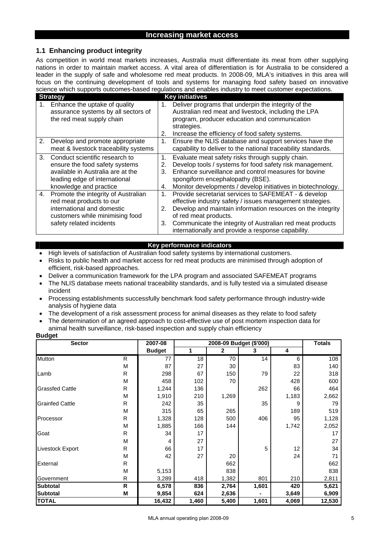#### **Increasing market access**

## **1.1 Enhancing product integrity**

As competition in world meat markets increases, Australia must differentiate its meat from other supplying nations in order to maintain market access. A vital area of differentiation is for Australia to be considered a leader in the supply of safe and wholesome red meat products. In 2008-09, MLA's initiatives in this area will focus on the continuing development of tools and systems for managing food safety based on innovative science which supports outcomes-based regulations and enables industry to meet customer expectations.

|                | <b>Strategy</b>                                                                                                                                                  |                      | <b>Key initiatives</b>                                                                                                                                                                                                                                                                                                       |
|----------------|------------------------------------------------------------------------------------------------------------------------------------------------------------------|----------------------|------------------------------------------------------------------------------------------------------------------------------------------------------------------------------------------------------------------------------------------------------------------------------------------------------------------------------|
|                | 1. Enhance the uptake of quality<br>assurance systems by all sectors of<br>the red meat supply chain                                                             | 1.<br>2.             | Deliver programs that underpin the integrity of the<br>Australian red meat and livestock, including the LPA<br>program, producer education and communication<br>strategies.<br>Increase the efficiency of food safety systems.                                                                                               |
| 2.             | Develop and promote appropriate<br>meat & livestock traceability systems                                                                                         | 1.                   | Ensure the NLIS database and support services have the<br>capability to deliver to the national traceability standards.                                                                                                                                                                                                      |
| 3 <sub>1</sub> | Conduct scientific research to<br>ensure the food safety systems<br>available in Australia are at the<br>leading edge of international<br>knowledge and practice | 1.<br>2.<br>3.<br>4. | Evaluate meat safety risks through supply chain.<br>Develop tools / systems for food safety risk management.<br>Enhance surveillance and control measures for bovine<br>spongiform encephalopathy (BSE).<br>Monitor developments / develop initiatives in biotechnology.                                                     |
| 4.             | Promote the integrity of Australian<br>red meat products to our<br>international and domestic<br>customers while minimising food<br>safety related incidents     | 1.<br>2.<br>3.       | Provide secretariat services to SAFEMEAT - & develop<br>effective industry safety / issues management strategies.<br>Develop and maintain information resources on the integrity<br>of red meat products.<br>Communicate the integrity of Australian red meat products<br>internationally and provide a response capability. |

#### **Key performance indicators**

- High levels of satisfaction of Australian food safety systems by international customers.
- Risks to public health and market access for red meat products are minimised through adoption of efficient, risk-based approaches.
- Deliver a communication framework for the LPA program and associated SAFEMEAT programs
- The NLIS database meets national traceability standards, and is fully tested via a simulated disease incident
- Processing establishments successfully benchmark food safety performance through industry-wide analysis of hygiene data
- The development of a risk assessment process for animal diseases as they relate to food safety
- The determination of an agreed approach to cost-effective use of post mortem inspection data for animal health surveillance, risk-based inspection and supply chain efficiency

| <b>Sector</b>          |              | 2007-08       |       |              | 2008-09 Budget (\$'000) |       | <b>Totals</b> |
|------------------------|--------------|---------------|-------|--------------|-------------------------|-------|---------------|
|                        |              | <b>Budget</b> | 1     | $\mathbf{2}$ | З                       | 4     |               |
| Mutton                 | $\mathsf{R}$ | 77            | 18    | 70           | 14                      | 6     | 108           |
|                        | M            | 87            | 27    | 30           |                         | 83    | 140           |
| Lamb                   | R            | 298           | 67    | 150          | 79                      | 22    | 318           |
|                        | M            | 458           | 102   | 70           |                         | 428   | 600           |
| <b>Grassfed Cattle</b> | R            | 1,244         | 136   |              | 262                     | 66    | 464           |
|                        | M            | 1,910         | 210   | 1,269        |                         | 1,183 | 2,662         |
| <b>Grainfed Cattle</b> | R            | 242           | 35    |              | 35                      | 9     | 79            |
|                        | M            | 315           | 65    | 265          |                         | 189   | 519           |
| Processor              | R            | 1,328         | 128   | 500          | 406                     | 95    | 1,128         |
|                        | M            | 1,885         | 166   | 144          |                         | 1,742 | 2,052         |
| Goat                   | R            | 34            | 17    |              |                         |       | 17            |
|                        | M            | 4             | 27    |              |                         |       | 27            |
| Livestock Export       | R            | 66            | 17    |              | 5                       | 12    | 34            |
|                        | M            | 42            | 27    | 20           |                         | 24    | 71            |
| External               | R            |               |       | 662          |                         |       | 662           |
|                        | M            | 5,153         |       | 838          |                         |       | 838           |
| Government             | R            | 3,289         | 418   | 1,382        | 801                     | 210   | 2,811         |
| <b>Subtotal</b>        | R            | 6,578         | 836   | 2,764        | 1,601                   | 420   | 5,621         |
| <b>Subtotal</b>        | M            | 9,854         | 624   | 2,636        |                         | 3,649 | 6,909         |
| <b>TOTAL</b>           |              | 16,432        | 1,460 | 5,400        | 1,601                   | 4,069 | 12,530        |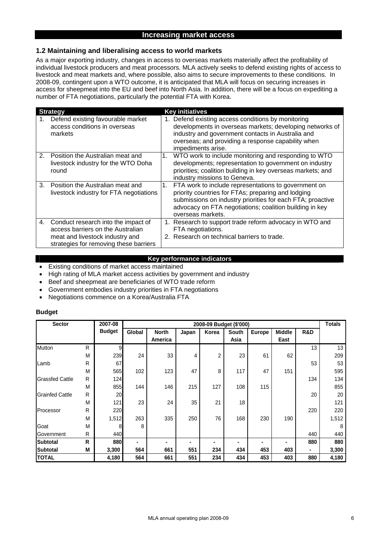## **Increasing market access**

#### **1.2 Maintaining and liberalising access to world markets**

As a major exporting industry, changes in access to overseas markets materially affect the profitability of individual livestock producers and meat processors. MLA actively seeks to defend existing rights of access to livestock and meat markets and, where possible, also aims to secure improvements to these conditions. In 2008-09, contingent upon a WTO outcome, it is anticipated that MLA will focus on securing increases in access for sheepmeat into the EU and beef into North Asia. In addition, there will be a focus on expediting a number of FTA negotiations, particularly the potential FTA with Korea.

|                | <b>Strategy</b>                                                                                                                                       |    | <b>Key initiatives</b>                                                                                                                                                                                                                                   |
|----------------|-------------------------------------------------------------------------------------------------------------------------------------------------------|----|----------------------------------------------------------------------------------------------------------------------------------------------------------------------------------------------------------------------------------------------------------|
|                | Defend existing favourable market<br>access conditions in overseas<br>markets                                                                         |    | 1. Defend existing access conditions by monitoring<br>developments in overseas markets; developing networks of<br>industry and government contacts in Australia and<br>overseas; and providing a response capability when<br>impediments arise.          |
| 2.             | Position the Australian meat and<br>livestock industry for the WTO Doha<br>round                                                                      | 1. | WTO work to include monitoring and responding to WTO<br>developments; representation to government on industry<br>priorities; coalition building in key overseas markets; and<br>industry missions to Geneva.                                            |
| $\mathbf{3}$ . | Position the Australian meat and<br>livestock industry for FTA negotiations                                                                           |    | FTA work to include representations to government on<br>priority countries for FTAs; preparing and lodging<br>submissions on industry priorities for each FTA; proactive<br>advocacy on FTA negotiations; coalition building in key<br>overseas markets. |
| 4.             | Conduct research into the impact of<br>access barriers on the Australian<br>meat and livestock industry and<br>strategies for removing these barriers |    | 1. Research to support trade reform advocacy in WTO and<br>FTA negotiations.<br>2. Research on technical barriers to trade.                                                                                                                              |

#### **Key performance indicators**

- Existing conditions of market access maintained
- High rating of MLA market access activities by government and industry
- Beef and sheepmeat are beneficiaries of WTO trade reform
- Government embodies industry priorities in FTA negotiations
- Negotiations commence on a Korea/Australia FTA

| <b>Sector</b><br>2007-08 |              |               | 2008-09 Budget (\$'000) |              |       |       |       |               |               |                | <b>Totals</b> |
|--------------------------|--------------|---------------|-------------------------|--------------|-------|-------|-------|---------------|---------------|----------------|---------------|
|                          |              | <b>Budget</b> | Global                  | <b>North</b> | Japan | Korea | South | <b>Europe</b> | <b>Middle</b> | <b>R&amp;D</b> |               |
|                          |              |               |                         | America      |       |       | Asia  |               | East          |                |               |
| Mutton                   | R            | 9             |                         |              |       |       |       |               |               | 13             | 13            |
|                          | M            | 239           | 24                      | 33           | 4     | 2     | 23    | 61            | 62            |                | 209           |
| Lamb                     | $\mathsf{R}$ | 67            |                         |              |       |       |       |               |               | 53             | 53            |
|                          | M            | 565           | 102                     | 123          | 47    | 8     | 117   | 47            | 151           |                | 595           |
| <b>Grassfed Cattle</b>   | ${\sf R}$    | 124           |                         |              |       |       |       |               |               | 134            | 134           |
|                          | M            | 855           | 144                     | 146          | 215   | 127   | 108   | 115           |               |                | 855           |
| <b>Grainfed Cattle</b>   | $\mathsf{R}$ | 20            |                         |              |       |       |       |               |               | 20             | 20            |
|                          | M            | 121           | 23                      | 24           | 35    | 21    | 18    |               |               |                | 121           |
| Processor                | R            | 220           |                         |              |       |       |       |               |               | 220            | 220           |
|                          | M            | 1,512         | 263                     | 335          | 250   | 76    | 168   | 230           | 190           |                | 1,512         |
| Goat                     | M            | 8             | 8                       |              |       |       |       |               |               |                | 8             |
| Government               | R            | 440           |                         |              |       |       |       |               |               | 440            | 440           |
| <b>Subtotal</b>          | R            | 880           |                         |              |       |       |       |               |               | 880            | 880           |
| <b>Subtotal</b>          | M            | 3,300         | 564                     | 661          | 551   | 234   | 434   | 453           | 403           | ۰.             | 3,300         |
| <b>TOTAL</b>             |              | 4,180         | 564                     | 661          | 551   | 234   | 434   | 453           | 403           | 880            | 4,180         |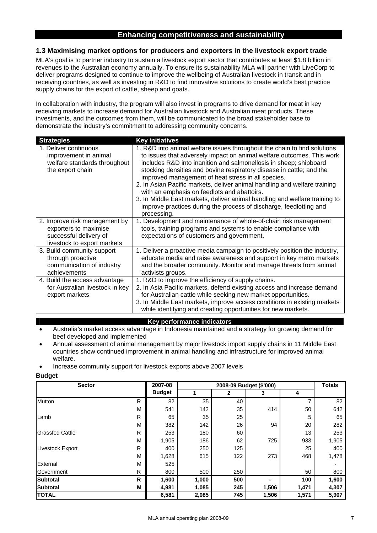## **1.3 Maximising market options for producers and exporters in the livestock export trade**

MLA's goal is to partner industry to sustain a livestock export sector that contributes at least \$1.8 billion in revenues to the Australian economy annually. To ensure its sustainability MLA will partner with LiveCorp to deliver programs designed to continue to improve the wellbeing of Australian livestock in transit and in receiving countries, as well as investing in R&D to find innovative solutions to create world's best practice supply chains for the export of cattle, sheep and goats.

In collaboration with industry, the program will also invest in programs to drive demand for meat in key receiving markets to increase demand for Australian livestock and Australian meat products. These investments, and the outcomes from them, will be communicated to the broad stakeholder base to demonstrate the industry's commitment to addressing community concerns.

| <b>Strategies</b>                                                                                               | <b>Key initiatives</b>                                                                                                                                                                                                                                                                                                                                                                                                                                                                                                                                                                                                                              |
|-----------------------------------------------------------------------------------------------------------------|-----------------------------------------------------------------------------------------------------------------------------------------------------------------------------------------------------------------------------------------------------------------------------------------------------------------------------------------------------------------------------------------------------------------------------------------------------------------------------------------------------------------------------------------------------------------------------------------------------------------------------------------------------|
| 1. Deliver continuous<br>improvement in animal<br>welfare standards throughout<br>the export chain              | 1. R&D into animal welfare issues throughout the chain to find solutions<br>to issues that adversely impact on animal welfare outcomes. This work<br>includes R&D into inanition and salmonellosis in sheep; shipboard<br>stocking densities and bovine respiratory disease in cattle; and the<br>improved management of heat stress in all species.<br>2. In Asian Pacific markets, deliver animal handling and welfare training<br>with an emphasis on feedlots and abattoirs.<br>3. In Middle East markets, deliver animal handling and welfare training to<br>improve practices during the process of discharge, feedlotting and<br>processing. |
| 2. Improve risk management by<br>exporters to maximise<br>successful delivery of<br>livestock to export markets | 1. Development and maintenance of whole-of-chain risk management<br>tools, training programs and systems to enable compliance with<br>expectations of customers and government.                                                                                                                                                                                                                                                                                                                                                                                                                                                                     |
| 3. Build community support<br>through proactive<br>communication of industry<br>achievements                    | 1. Deliver a proactive media campaign to positively position the industry,<br>educate media and raise awareness and support in key metro markets<br>and the broader community. Monitor and manage threats from animal<br>activists groups.                                                                                                                                                                                                                                                                                                                                                                                                          |
| 4. Build the access advantage<br>for Australian livestock in key<br>export markets                              | 1. R&D to improve the efficiency of supply chains.<br>2. In Asia Pacific markets, defend existing access and increase demand<br>for Australian cattle while seeking new market opportunities.<br>3. In Middle East markets, improve access conditions in existing markets<br>while identifying and creating opportunities for new markets.                                                                                                                                                                                                                                                                                                          |

- **Key performance indicators**
- Australia's market access advantage in Indonesia maintained and a strategy for growing demand for beef developed and implemented
- Annual assessment of animal management by major livestock import supply chains in 11 Middle East countries show continued improvement in animal handling and infrastructure for improved animal welfare.
- Increase community support for livestock exports above 2007 levels

| <b>Sector</b>           |   | 2007-08       |       |     | 2008-09 Budget (\$'000) |       | <b>Totals</b> |
|-------------------------|---|---------------|-------|-----|-------------------------|-------|---------------|
|                         |   | <b>Budget</b> |       | 2   | 3                       | 4     |               |
| <b>Mutton</b>           | R | 82            | 35    | 40  |                         |       | 82            |
|                         | м | 541           | 142   | 35  | 414                     | 50    | 642           |
| Lamb                    | R | 65            | 35    | 25  |                         | 5     | 65            |
|                         | M | 382           | 142   | 26  | 94                      | 20    | 282           |
| <b>Grassfed Cattle</b>  | R | 253           | 180   | 60  |                         | 13    | 253           |
|                         | М | 1,905         | 186   | 62  | 725                     | 933   | 1,905         |
| <b>Livestock Export</b> | R | 400           | 250   | 125 |                         | 25    | 400           |
|                         | M | 1,628         | 615   | 122 | 273                     | 468   | 1,478         |
| External                | М | 525           |       |     |                         |       |               |
| Government              | R | 800           | 500   | 250 |                         | 50    | 800           |
| <b>Subtotal</b>         | R | 1,600         | 1,000 | 500 |                         | 100   | 1,600         |
| <b>Subtotal</b>         | м | 4,981         | 1,085 | 245 | 1,506                   | 1,471 | 4,307         |
| <b>TOTAL</b>            |   | 6,581         | 2,085 | 745 | 1,506                   | 1,571 | 5,907         |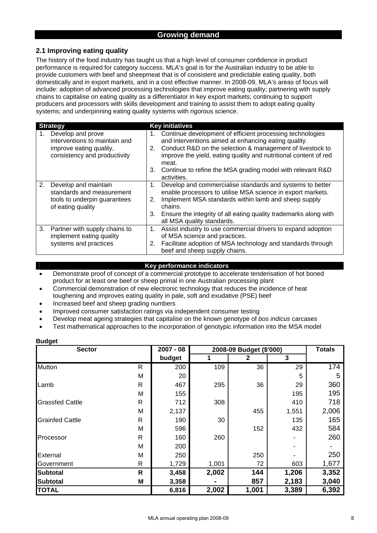## **Growing demand**

## **2.1 Improving eating quality**

The history of the food industry has taught us that a high level of consumer confidence in product performance is required for category success. MLA's goal is for the Australian industry to be able to provide customers with beef and sheepmeat that is of consistent and predictable eating quality, both domestically and in export markets, and in a cost effective manner. In 2008-09, MLA's areas of focus will include: adoption of advanced processing technologies that improve eating quality; partnering with supply chains to capitalise on eating quality as a differentiator in key export markets; continuing to support producers and processors with skills development and training to assist them to adopt eating quality systems; and underpinning eating quality systems with rigorous science.

|    | <b>Strategy</b>                                                                                               |                | <b>Key initiatives</b>                                                                                                                                                                                                                                                                                                                         |
|----|---------------------------------------------------------------------------------------------------------------|----------------|------------------------------------------------------------------------------------------------------------------------------------------------------------------------------------------------------------------------------------------------------------------------------------------------------------------------------------------------|
| 1. | Develop and prove<br>interventions to maintain and<br>improve eating quality,<br>consistency and productivity | 1.             | Continue development of efficient processing technologies<br>and interventions aimed at enhancing eating quality.<br>2. Conduct R&D on the selection & management of livestock to<br>improve the yield, eating quality and nutritional content of red<br>meat.<br>3. Continue to refine the MSA grading model with relevant R&D<br>activities. |
| 2. | Develop and maintain<br>standards and measurement<br>tools to underpin guarantees<br>of eating quality        | 1.<br>2.<br>3. | Develop and commercialise standards and systems to better<br>enable processors to utilise MSA science in export markets.<br>Implement MSA standards within lamb and sheep supply<br>chains.<br>Ensure the integrity of all eating quality trademarks along with<br>all MSA quality standards.                                                  |
| 3. | Partner with supply chains to<br>implement eating quality<br>systems and practices                            | 1.<br>2.       | Assist industry to use commercial drivers to expand adoption<br>of MSA science and practices.<br>Facilitate adoption of MSA technology and standards through<br>beef and sheep supply chains.                                                                                                                                                  |

#### **Key performance indicators**

- Demonstrate proof of concept of a commercial prototype to accelerate tenderisation of hot boned product for at least one beef or sheep primal in one Australian processing plant
- Commercial demonstration of new electronic technology that reduces the incidence of heat toughening and improves eating quality in pale, soft and exudative (PSE) beef
- Increased beef and sheep grading numbers
- Improved consumer satisfaction ratings via independent consumer testing
- Develop meat ageing strategies that capitalise on the known genotype of *bos indicus* carcases
- Test mathematical approaches to the incorporation of genotypic information into the MSA model

| <b>Sector</b>          | $2007 - 08$  | 2008-09 Budget (\$'000) | <b>Totals</b> |       |       |       |
|------------------------|--------------|-------------------------|---------------|-------|-------|-------|
|                        |              | budget                  |               | 2     | 3     |       |
| <b>Mutton</b>          | R            | 200                     | 109           | 36    | 29    | 174   |
|                        | M            | 20                      |               |       | 5     | 5     |
| Lamb                   | $\mathsf{R}$ | 467                     | 295           | 36    | 29    | 360   |
|                        | M            | 155                     |               |       | 195   | 195   |
| <b>Grassfed Cattle</b> | $\mathsf{R}$ | 712                     | 308           |       | 410   | 718   |
|                        | M            | 2,137                   |               | 455   | 1,551 | 2,006 |
| <b>Grainfed Cattle</b> | $\mathsf{R}$ | 190                     | 30            |       | 135   | 165   |
|                        | M            | 596                     |               | 152   | 432   | 584   |
| Processor              | $\mathsf{R}$ | 160                     | 260           |       |       | 260   |
|                        | M            | 200                     |               |       |       |       |
| External               | M            | 250                     |               | 250   |       | 250   |
| Government             | R            | 1,729                   | 1,001         | 72    | 603   | 1,677 |
| <b>Subtotal</b>        | R            | 3,458                   | 2,002         | 144   | 1,206 | 3,352 |
| <b>Subtotal</b>        | Μ            | 3,358                   |               | 857   | 2,183 | 3,040 |
| <b>TOTAL</b>           |              | 6,816                   | 2,002         | 1,001 | 3,389 | 6,392 |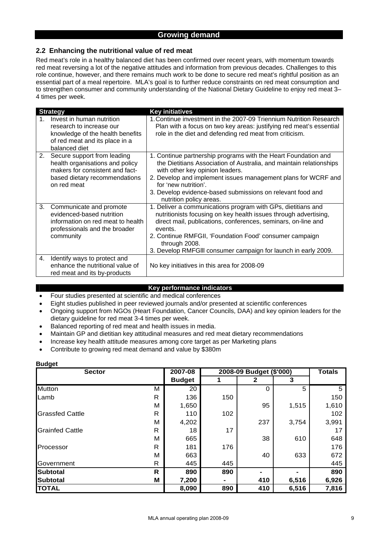## **Growing demand**

## **2.2 Enhancing the nutritional value of red meat**

Red meat's role in a healthy balanced diet has been confirmed over recent years, with momentum towards red meat reversing a lot of the negative attitudes and information from previous decades. Challenges to this role continue, however, and there remains much work to be done to secure red meat's rightful position as an essential part of a meal repertoire. MLA's goal is to further reduce constraints on red meat consumption and to strengthen consumer and community understanding of the National Dietary Guideline to enjoy red meat 3– 4 times per week.

|    | <b>Strategy</b>                                                                                                                                   | <b>Key initiatives</b>                                                                                                                                                                                                                                                                                                                                     |
|----|---------------------------------------------------------------------------------------------------------------------------------------------------|------------------------------------------------------------------------------------------------------------------------------------------------------------------------------------------------------------------------------------------------------------------------------------------------------------------------------------------------------------|
| 1  | Invest in human nutrition<br>research to increase our<br>knowledge of the health benefits<br>of red meat and its place in a<br>balanced diet      | 1. Continue investment in the 2007-09 Triennium Nutrition Research<br>Plan with a focus on two key areas: justifying red meat's essential<br>role in the diet and defending red meat from criticism.                                                                                                                                                       |
| 2. | Secure support from leading<br>health organisations and policy<br>makers for consistent and fact-<br>based dietary recommendations<br>on red meat | 1. Continue partnership programs with the Heart Foundation and<br>the Dietitians Association of Australia, and maintain relationships<br>with other key opinion leaders.<br>2. Develop and implement issues management plans for WCRF and<br>for 'new nutrition'.<br>3. Develop evidence-based submissions on relevant food and<br>nutrition policy areas. |
| 3. | Communicate and promote<br>evidenced-based nutrition<br>information on red meat to health<br>professionals and the broader<br>community           | 1. Deliver a communications program with GPs, dietitians and<br>nutritionists focusing on key health issues through advertising,<br>direct mail, publications, conferences, seminars, on-line and<br>events.<br>2. Continue RMFGII, 'Foundation Food' consumer campaign<br>through 2008.<br>3. Develop RMFGIII consumer campaign for launch in early 2009. |
| 4. | Identify ways to protect and<br>enhance the nutritional value of<br>red meat and its by-products                                                  | No key initiatives in this area for 2008-09                                                                                                                                                                                                                                                                                                                |

#### **Key performance indicators**

- Four studies presented at scientific and medical conferences
- Eight studies published in peer reviewed journals and/or presented at scientific conferences
- Ongoing support from NGOs (Heart Foundation, Cancer Councils, DAA) and key opinion leaders for the dietary guideline for red meat 3-4 times per week.
- Balanced reporting of red meat and health issues in media.
- Maintain GP and dietitian key attitudinal measures and red meat dietary recommendations
- Increase key health attitude measures among core target as per Marketing plans
- Contribute to growing red meat demand and value by \$380m

| <b>Sector</b>          | 2007-08 |               | 2008-09 Budget (\$'000) | <b>Totals</b> |       |       |
|------------------------|---------|---------------|-------------------------|---------------|-------|-------|
|                        |         | <b>Budget</b> |                         | 2             | 3     |       |
| Mutton                 | м       | 20            |                         | 0             | 5     | 5     |
| Lamb                   | R       | 136           | 150                     |               |       | 150   |
|                        | M       | 1,650         |                         | 95            | 1,515 | 1,610 |
| <b>Grassfed Cattle</b> | R       | 110           | 102                     |               |       | 102   |
|                        | M       | 4,202         |                         | 237           | 3,754 | 3,991 |
| <b>Grainfed Cattle</b> | R       | 18            | 17                      |               |       | 17    |
|                        | м       | 665           |                         | 38            | 610   | 648   |
| Processor              | R       | 181           | 176                     |               |       | 176   |
|                        | М       | 663           |                         | 40            | 633   | 672   |
| Government             | R       | 445           | 445                     |               |       | 445   |
| <b>Subtotal</b>        | R       | 890           | 890                     |               |       | 890   |
| <b>Subtotal</b>        | M       | 7,200         |                         | 410           | 6,516 | 6,926 |
| <b>TOTAL</b>           |         | 8,090         | 890                     | 410           | 6,516 | 7,816 |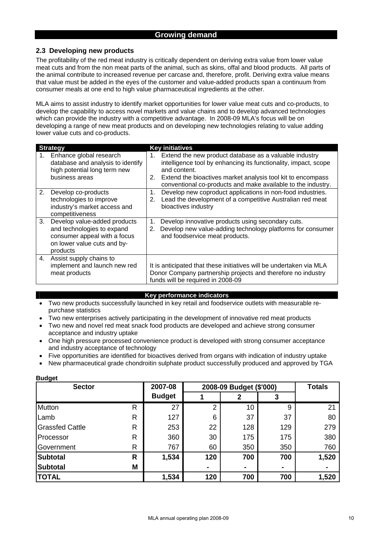## **2.3 Developing new products**

The profitability of the red meat industry is critically dependent on deriving extra value from lower value meat cuts and from the non meat parts of the animal, such as skins, offal and blood products. All parts of the animal contribute to increased revenue per carcase and, therefore, profit. Deriving extra value means that value must be added in the eyes of the customer and value-added products span a continuum from consumer meals at one end to high value pharmaceutical ingredients at the other.

MLA aims to assist industry to identify market opportunities for lower value meat cuts and co-products, to develop the capability to access novel markets and value chains and to develop advanced technologies which can provide the industry with a competitive advantage. In 2008-09 MLA's focus will be on developing a range of new meat products and on developing new technologies relating to value adding lower value cuts and co-products.

|    | <b>Strategy</b>                                                                                                                       |          | <b>Key initiatives</b>                                                                                                                                                                                                                                                   |  |  |  |  |
|----|---------------------------------------------------------------------------------------------------------------------------------------|----------|--------------------------------------------------------------------------------------------------------------------------------------------------------------------------------------------------------------------------------------------------------------------------|--|--|--|--|
| 1. | Enhance global research<br>database and analysis to identify<br>high potential long term new<br>business areas                        | 1.<br>2. | Extend the new product database as a valuable industry<br>intelligence tool by enhancing its functionality, impact, scope<br>and content.<br>Extend the bioactives market analysis tool kit to encompass<br>conventional co-products and make available to the industry. |  |  |  |  |
| 2. | Develop co-products<br>technologies to improve<br>industry's market access and<br>competitiveness                                     | 1.<br>2. | Develop new coproduct applications in non-food industries.<br>Lead the development of a competitive Australian red meat<br>bioactives industry                                                                                                                           |  |  |  |  |
| 3. | Develop value-added products<br>and technologies to expand<br>consumer appeal with a focus<br>on lower value cuts and by-<br>products | 1.<br>2. | Develop innovative products using secondary cuts.<br>Develop new value-adding technology platforms for consumer<br>and foodservice meat products.                                                                                                                        |  |  |  |  |
| 4. | Assist supply chains to<br>implement and launch new red<br>meat products                                                              |          | It is anticipated that these initiatives will be undertaken via MLA<br>Donor Company partnership projects and therefore no industry<br>funds will be required in 2008-09                                                                                                 |  |  |  |  |

#### **Key performance indicators**

- Two new products successfully launched in key retail and foodservice outlets with measurable repurchase statistics
- Two new enterprises actively participating in the development of innovative red meat products
- Two new and novel red meat snack food products are developed and achieve strong consumer acceptance and industry uptake
- One high pressure processed convenience product is developed with strong consumer acceptance and industry acceptance of technology
- Five opportunities are identified for bioactives derived from organs with indication of industry uptake
- New pharmaceutical grade chondroitin sulphate product successfully produced and approved by TGA

| -----<br><b>Sector</b> |   | 2007-08       | 2008-09 Budget (\$'000) | <b>Totals</b>  |     |       |
|------------------------|---|---------------|-------------------------|----------------|-----|-------|
|                        |   | <b>Budget</b> |                         | 2              |     |       |
| Mutton                 | R | 27            | $\overline{2}$          | 10             | 9   | 21    |
| Lamb                   | R | 127           | 6                       | 37             | 37  | 80    |
| <b>Grassfed Cattle</b> | R | 253           | 22                      | 128            | 129 | 279   |
| Processor              | R | 360           | 30                      | 175            | 175 | 380   |
| Government             | R | 767           | 60                      | 350            | 350 | 760   |
| <b>Subtotal</b>        | R | 1,534         | 120                     | 700            | 700 | 1,520 |
| <b>Subtotal</b>        | M |               | ۰                       | $\blacksquare$ |     |       |
| <b>TOTAL</b>           |   | 1,534         | 120                     | 700            | 700 | 1,520 |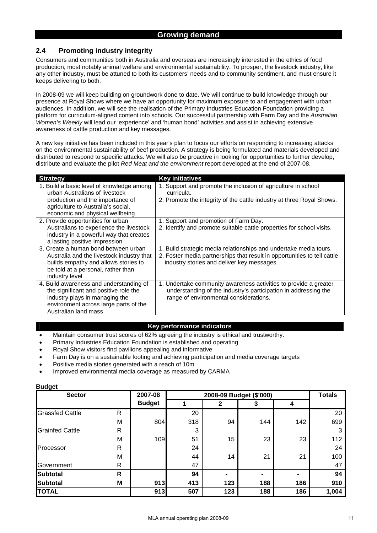## **2.4 Promoting industry integrity**

Consumers and communities both in Australia and overseas are increasingly interested in the ethics of food production, most notably animal welfare and environmental sustainability. To prosper, the livestock industry, like any other industry, must be attuned to both its customers' needs and to community sentiment, and must ensure it keeps delivering to both.

In 2008-09 we will keep building on groundwork done to date. We will continue to build knowledge through our presence at Royal Shows where we have an opportunity for maximum exposure to and engagement with urban audiences. In addition, we will see the realisation of the Primary Industries Education Foundation providing a platform for curriculum-aligned content into schools. Our successful partnership with Farm Day and the *Australian Women's Weekly* will lead our 'experience' and 'human bond' activities and assist in achieving extensive awareness of cattle production and key messages.

A new key initiative has been included in this year's plan to focus our efforts on responding to increasing attacks on the environmental sustainability of beef production. A strategy is being formulated and materials developed and distributed to respond to specific attacks. We will also be proactive in looking for opportunities to further develop, distribute and evaluate the pilot *Red Meat and the environment* report developed at the end of 2007-08.

| <b>Strategy</b>                           | <b>Key initiatives</b>                                                   |
|-------------------------------------------|--------------------------------------------------------------------------|
| 1. Build a basic level of knowledge among | 1. Support and promote the inclusion of agriculture in school            |
| urban Australians of livestock            | curricula.                                                               |
| production and the importance of          | 2. Promote the integrity of the cattle industry at three Royal Shows.    |
| agriculture to Australia's social,        |                                                                          |
| economic and physical wellbeing           |                                                                          |
| 2. Provide opportunities for urban        | 1. Support and promotion of Farm Day.                                    |
| Australians to experience the livestock   | 2. Identify and promote suitable cattle properties for school visits.    |
| industry in a powerful way that creates   |                                                                          |
| a lasting positive impression             |                                                                          |
| 3. Create a human bond between urban      | 1. Build strategic media relationships and undertake media tours.        |
| Australia and the livestock industry that | 2. Foster media partnerships that result in opportunities to tell cattle |
| builds empathy and allows stories to      | industry stories and deliver key messages.                               |
| be told at a personal, rather than        |                                                                          |
| industry level                            |                                                                          |
| 4. Build awareness and understanding of   | 1. Undertake community awareness activities to provide a greater         |
| the significant and positive role the     | understanding of the industry's participation in addressing the          |
| industry plays in managing the            | range of environmental considerations.                                   |
| environment across large parts of the     |                                                                          |
| Australian land mass                      |                                                                          |

#### **Key performance indicators**

- Maintain consumer trust scores of 62% agreeing the industry is ethical and trustworthy.
- Primary Industries Education Foundation is established and operating
- Royal Show visitors find pavilions appealing and informative
- Farm Day is on a sustainable footing and achieving participation and media coverage targets
- Positive media stories generated with a reach of 10m
- Improved environmental media coverage as measured by CARMA

| <b>Sector</b>          |   | 2007-08       |     | <b>Totals</b> |     |     |       |
|------------------------|---|---------------|-----|---------------|-----|-----|-------|
|                        |   | <b>Budget</b> |     | 2             | 3   | 4   |       |
| <b>Grassfed Cattle</b> | R |               | 20  |               |     |     | 20    |
|                        | M | 804           | 318 | 94            | 144 | 142 | 699   |
| <b>Grainfed Cattle</b> | R |               | 3   |               |     |     | 3     |
|                        | М | 109           | 51  | 15            | 23  | 23  | 112   |
| Processor              | R |               | 24  |               |     |     | 24    |
|                        | М |               | 44  | 14            | 21  | 21  | 100   |
| Government             | R |               | 47  |               |     |     | 47    |
| <b>Subtotal</b>        | R |               | 94  | -             |     | ۰   | 94    |
| <b>Subtotal</b>        | Μ | 913           | 413 | 123           | 188 | 186 | 910   |
| <b>TOTAL</b>           |   | 913           | 507 | 123           | 188 | 186 | 1,004 |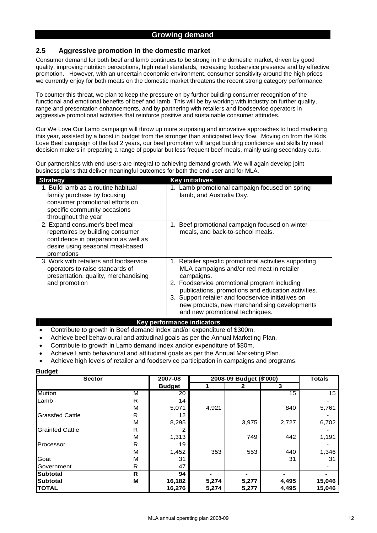## **2.5 Aggressive promotion in the domestic market**

Consumer demand for both beef and lamb continues to be strong in the domestic market, driven by good quality, improving nutrition perceptions, high retail standards, increasing foodservice presence and by effective promotion. However, with an uncertain economic environment, consumer sensitivity around the high prices we currently enjoy for both meats on the domestic market threatens the recent strong category performance.

To counter this threat, we plan to keep the pressure on by further building consumer recognition of the functional and emotional benefits of beef and lamb. This will be by working with industry on further quality, range and presentation enhancements, and by partnering with retailers and foodservice operators in aggressive promotional activities that reinforce positive and sustainable consumer attitudes.

Our We Love Our Lamb campaign will throw up more surprising and innovative approaches to food marketing this year, assisted by a boost in budget from the stronger than anticipated levy flow. Moving on from the Kids Love Beef campaign of the last 2 years, our beef promotion will target building confidence and skills by meal decision makers in preparing a range of popular but less frequent beef meals, mainly using secondary cuts.

Our partnerships with end-users are integral to achieving demand growth. We will again develop joint business plans that deliver meaningful outcomes for both the end-user and for MLA.

| <b>Strategy</b>                                                                                                                                              | <b>Key initiatives</b>                                                                                                                                                                                                                                                                                                                                           |
|--------------------------------------------------------------------------------------------------------------------------------------------------------------|------------------------------------------------------------------------------------------------------------------------------------------------------------------------------------------------------------------------------------------------------------------------------------------------------------------------------------------------------------------|
| 1. Build lamb as a routine habitual<br>family purchase by focusing<br>consumer promotional efforts on<br>specific community occasions<br>throughout the year | 1. Lamb promotional campaign focused on spring<br>lamb, and Australia Day.                                                                                                                                                                                                                                                                                       |
| 2. Expand consumer's beef meal<br>repertoires by building consumer<br>confidence in preparation as well as<br>desire using seasonal meal-based<br>promotions | Beef promotional campaign focused on winter<br>1.<br>meals, and back-to-school meals.                                                                                                                                                                                                                                                                            |
| 3. Work with retailers and foodservice<br>operators to raise standards of<br>presentation, quality, merchandising<br>and promotion                           | 1. Retailer specific promotional activities supporting<br>MLA campaigns and/or red meat in retailer<br>campaigns.<br>2. Foodservice promotional program including<br>publications, promotions and education activities.<br>3. Support retailer and foodservice initiatives on<br>new products, new merchandising developments<br>and new promotional techniques. |

#### **Key performance indicators**

- Contribute to growth in Beef demand index and/or expenditure of \$300m.
- Achieve beef behavioural and attitudinal goals as per the Annual Marketing Plan.
- Contribute to growth in Lamb demand index and/or expenditure of \$80m.
- Achieve Lamb behavioural and attitudinal goals as per the Annual Marketing Plan.
- Achieve high levels of retailer and foodservice participation in campaigns and programs.

| $\mathbf{v}$<br><b>Sector</b> |   | 2007-08       | 2008-09 Budget (\$'000) | <b>Totals</b> |       |        |
|-------------------------------|---|---------------|-------------------------|---------------|-------|--------|
|                               |   | <b>Budget</b> |                         | 2             | 3     |        |
| <b>Mutton</b>                 | M | 20            |                         |               | 15    | 15     |
| Lamb                          | R | 14            |                         |               |       |        |
|                               | M | 5,071         | 4,921                   |               | 840   | 5,761  |
| <b>Grassfed Cattle</b>        | R | 12            |                         |               |       |        |
|                               | M | 8,295         |                         | 3,975         | 2,727 | 6,702  |
| <b>Grainfed Cattle</b>        | R | 2             |                         |               |       |        |
|                               | M | 1,313         |                         | 749           | 442   | 1,191  |
| Processor                     | R | 19            |                         |               |       |        |
|                               | M | 1,452         | 353                     | 553           | 440   | 1,346  |
| Goat                          | M | 31            |                         |               | 31    | 31     |
| Government                    | R | 47            |                         |               |       |        |
| <b>Subtotal</b>               | R | 94            |                         |               |       |        |
| <b>Subtotal</b>               | M | 16,182        | 5,274                   | 5,277         | 4,495 | 15,046 |
| <b>TOTAL</b>                  |   | 16,276        | 5,274                   | 5,277         | 4,495 | 15,046 |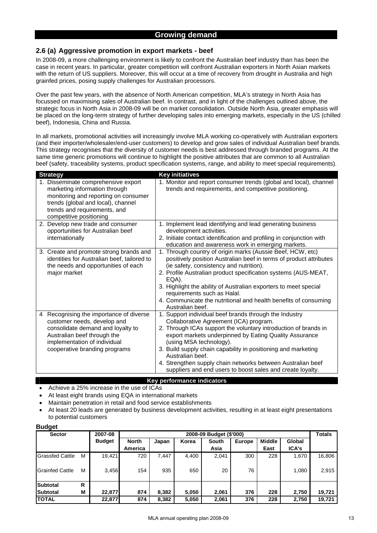## **Growing demand**

#### **2.6 (a) Aggressive promotion in export markets - beef**

In 2008-09, a more challenging environment is likely to confront the Australian beef industry than has been the case in recent years. In particular, greater competition will confront Australian exporters in North Asian markets with the return of US suppliers. Moreover, this will occur at a time of recovery from drought in Australia and high grainfed prices, posing supply challenges for Australian processors.

Over the past few years, with the absence of North American competition, MLA's strategy in North Asia has focussed on maximising sales of Australian beef. In contrast, and in light of the challenges outlined above, the strategic focus in North Asia in 2008-09 will be on market consolidation. Outside North Asia, greater emphasis will be placed on the long-term strategy of further developing sales into emerging markets, especially in the US (chilled beef), Indonesia, China and Russia.

In all markets, promotional activities will increasingly involve MLA working co-operatively with Australian exporters (and their importer/wholesaler/end-user customers) to develop and grow sales of individual Australian beef brands. This strategy recognises that the diversity of customer needs is best addressed through branded programs. At the same time generic promotions will continue to highlight the positive attributes that are common to all Australian beef (safety, traceability systems, product specification systems, range, and ability to meet special requirements).

| <b>Strategy</b>                                                                                                                                                                                                | <b>Key initiatives</b>                                                                                                                                                                                                                                                                                                                                                                                                                                                     |
|----------------------------------------------------------------------------------------------------------------------------------------------------------------------------------------------------------------|----------------------------------------------------------------------------------------------------------------------------------------------------------------------------------------------------------------------------------------------------------------------------------------------------------------------------------------------------------------------------------------------------------------------------------------------------------------------------|
| 1. Disseminate comprehensive export<br>marketing information through<br>monitoring and reporting on consumer<br>trends (global and local), channel<br>trends and requirements, and<br>competitive positioning  | 1. Monitor and report consumer trends (global and local), channel<br>trends and requirements, and competitive positioning.                                                                                                                                                                                                                                                                                                                                                 |
| 2. Develop new trade and consumer<br>opportunities for Australian beef<br>internationally                                                                                                                      | 1. Implement lead identifying and lead generating business<br>development activities.<br>2. Initiate contact identification and profiling in conjunction with<br>education and awareness work in emerging markets.                                                                                                                                                                                                                                                         |
| 3. Create and promote strong brands and<br>identities for Australian beef, tailored to<br>the needs and opportunities of each<br>major market                                                                  | 1. Through country of origin marks (Aussie Beef, HCW, etc)<br>positively position Australian beef in terms of product attributes<br>(ie safety, consistency and nutrition).<br>2. Profile Australian product specification systems (AUS-MEAT,<br>EQA).<br>3. Highlight the ability of Australian exporters to meet special<br>requirements such as Halal.<br>4. Communicate the nutritional and health benefits of consuming<br>Australian beef.                           |
| Recognising the importance of diverse<br>4<br>customer needs, develop and<br>consolidate demand and loyalty to<br>Australian beef through the<br>implementation of individual<br>cooperative branding programs | 1. Support individual beef brands through the Industry<br>Collaborative Agreement (ICA) program.<br>2. Through ICAs support the voluntary introduction of brands in<br>export markets underpinned by Eating Quality Assurance<br>(using MSA technology).<br>3. Build supply chain capability in positioning and marketing<br>Australian beef.<br>4. Strengthen supply chain networks between Australian beef<br>suppliers and end users to boost sales and create loyalty. |

#### **Key performance indicators**

- Achieve a 25% increase in the use of ICAs
	- At least eight brands using EQA in international markets
- Maintain penetration in retail and food service establishments
- At least 20 leads are generated by business development activities, resulting in at least eight presentations to potential customers

| <b>Sector</b>          |   | 2007-08       | 2008-09 Budget (\$'000) |       |       |       |        |               |        |        |  |
|------------------------|---|---------------|-------------------------|-------|-------|-------|--------|---------------|--------|--------|--|
|                        |   | <b>Budget</b> | <b>North</b>            | Japan | Korea | South | Europe | <b>Middle</b> | Global |        |  |
|                        |   |               | America                 |       |       | Asia  |        | East          | ICA's  |        |  |
| <b>Grassfed Cattle</b> | M | 19,421        | 720                     | 7.447 | 4,400 | 2,041 | 300    | 228           | 1,670  | 16,806 |  |
| <b>Grainfed Cattle</b> | м | 3,456         | 154                     | 935   | 650   | 20    | 76     |               | 1,080  | 2,915  |  |
| Subtotal               | R |               |                         |       |       |       |        |               |        |        |  |
| <b>Subtotal</b>        | M | 22,877        | 874                     | 8,382 | 5,050 | 2,061 | 376    | 228           | 2,750  | 19,721 |  |
| <b>TOTAL</b>           |   | 22,877        | 874                     | 8,382 | 5,050 | 2,061 | 376    | 228           | 2,750  | 19,721 |  |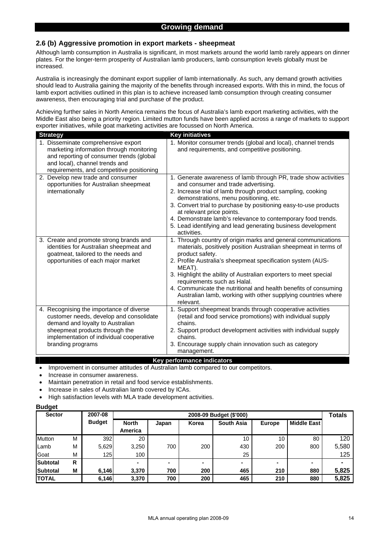## **2.6 (b) Aggressive promotion in export markets - sheepmeat**

Although lamb consumption in Australia is significant, in most markets around the world lamb rarely appears on dinner plates. For the longer-term prosperity of Australian lamb producers, lamb consumption levels globally must be increased.

Australia is increasingly the dominant export supplier of lamb internationally. As such, any demand growth activities should lead to Australia gaining the majority of the benefits through increased exports. With this in mind, the focus of lamb export activities outlined in this plan is to achieve increased lamb consumption through creating consumer awareness, then encouraging trial and purchase of the product.

Achieving further sales in North America remains the focus of Australia's lamb export marketing activities, with the Middle East also being a priority region. Limited mutton funds have been applied across a range of markets to support exporter initiatives, while goat marketing activities are focussed on North America.

| <b>Strategy</b>                                                                                                                                                                                                            | <b>Key initiatives</b>                                                                                                                                                                                                                                                                                                                                                                                                                                                           |
|----------------------------------------------------------------------------------------------------------------------------------------------------------------------------------------------------------------------------|----------------------------------------------------------------------------------------------------------------------------------------------------------------------------------------------------------------------------------------------------------------------------------------------------------------------------------------------------------------------------------------------------------------------------------------------------------------------------------|
| 1. Disseminate comprehensive export<br>marketing information through monitoring<br>and reporting of consumer trends (global<br>and local), channel trends and<br>requirements, and competitive positioning                 | 1. Monitor consumer trends (global and local), channel trends<br>and requirements, and competitive positioning.                                                                                                                                                                                                                                                                                                                                                                  |
| 2. Develop new trade and consumer<br>opportunities for Australian sheepmeat<br>internationally                                                                                                                             | 1. Generate awareness of lamb through PR, trade show activities<br>and consumer and trade advertising.<br>2. Increase trial of lamb through product sampling, cooking<br>demonstrations, menu positioning, etc.<br>3. Convert trial to purchase by positioning easy-to-use products<br>at relevant price points.<br>4. Demonstrate lamb's relevance to contemporary food trends.<br>5. Lead identifying and lead generating business development<br>activities.                  |
| 3. Create and promote strong brands and<br>identities for Australian sheepmeat and<br>goatmeat, tailored to the needs and<br>opportunities of each major market                                                            | 1. Through country of origin marks and general communications<br>materials, positively position Australian sheepmeat in terms of<br>product safety.<br>2. Profile Australia's sheepmeat specification system (AUS-<br>MEAT).<br>3. Highlight the ability of Australian exporters to meet special<br>requirements such as Halal.<br>4. Communicate the nutritional and health benefits of consuming<br>Australian lamb, working with other supplying countries where<br>relevant. |
| 4. Recognising the importance of diverse<br>customer needs, develop and consolidate<br>demand and loyalty to Australian<br>sheepmeat products through the<br>implementation of individual cooperative<br>branding programs | 1. Support sheepmeat brands through cooperative activities<br>(retail and food service promotions) with individual supply<br>chains.<br>2. Support product development activities with individual supply<br>chains.<br>3. Encourage supply chain innovation such as category<br>management.                                                                                                                                                                                      |

#### **Key performance indicators**

• Improvement in consumer attitudes of Australian lamb compared to our competitors.

- Increase in consumer awareness.
- Maintain penetration in retail and food service establishments.
- Increase in sales of Australian lamb covered by ICAs.
- High satisfaction levels with MLA trade development activities.

| ------          |   |               |                         |       |       |                   |               |                    |       |  |  |  |
|-----------------|---|---------------|-------------------------|-------|-------|-------------------|---------------|--------------------|-------|--|--|--|
| <b>Sector</b>   |   | 2007-08       | 2008-09 Budget (\$'000) |       |       |                   |               |                    |       |  |  |  |
|                 |   | <b>Budget</b> | <b>North</b>            | Japan | Korea | <b>South Asia</b> | <b>Europe</b> | <b>Middle East</b> |       |  |  |  |
|                 |   |               | America                 |       |       |                   |               |                    |       |  |  |  |
| Mutton          | M | 392           | 20                      |       |       | 10                | 10            | 80                 | 120   |  |  |  |
| Lamb            | М | 5,629         | 3,250                   | 700   | 200   | 430               | 200           | 800                | 5,580 |  |  |  |
| Goat            | М | 125           | 100                     |       |       | 25                |               |                    | 125   |  |  |  |
| <b>Subtotal</b> | R |               |                         |       |       | ۰                 |               |                    |       |  |  |  |
| <b>Subtotal</b> | М | 6,146         | 3,370                   | 700   | 200   | 465               | 210           | 880                | 5,825 |  |  |  |
| <b>TOTAL</b>    |   | 6,146         | 3,370                   | 700   | 200   | 465               | 210           | 880                | 5,825 |  |  |  |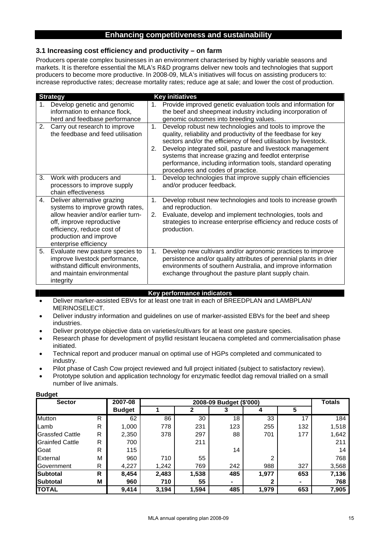## **3.1 Increasing cost efficiency and productivity – on farm**

Producers operate complex businesses in an environment characterised by highly variable seasons and markets. It is therefore essential the MLA's R&D programs deliver new tools and technologies that support producers to become more productive. In 2008-09, MLA's initiatives will focus on assisting producers to: increase reproductive rates; decrease mortality rates; reduce age at sale; and lower the cost of production.

|    | <b>Strategy</b>                                                                                                                                                                                                     |          | <b>Key initiatives</b>                                                                                                                                                                                                                                                                                                                                                                                                 |
|----|---------------------------------------------------------------------------------------------------------------------------------------------------------------------------------------------------------------------|----------|------------------------------------------------------------------------------------------------------------------------------------------------------------------------------------------------------------------------------------------------------------------------------------------------------------------------------------------------------------------------------------------------------------------------|
| 1. | Develop genetic and genomic<br>information to enhance flock,<br>herd and feedbase performance                                                                                                                       | 1.       | Provide improved genetic evaluation tools and information for<br>the beef and sheepmeat industry including incorporation of<br>genomic outcomes into breeding values.                                                                                                                                                                                                                                                  |
| 2. | Carry out research to improve<br>the feedbase and feed utilisation                                                                                                                                                  | 1.<br>2. | Develop robust new technologies and tools to improve the<br>quality, reliability and productivity of the feedbase for key<br>sectors and/or the efficiency of feed utilisation by livestock.<br>Develop integrated soil, pasture and livestock management<br>systems that increase grazing and feedlot enterprise<br>performance, including information tools, standard operating<br>procedures and codes of practice. |
| 3. | Work with producers and<br>processors to improve supply<br>chain effectiveness                                                                                                                                      | 1.       | Develop technologies that improve supply chain efficiencies<br>and/or producer feedback.                                                                                                                                                                                                                                                                                                                               |
| 4. | Deliver alternative grazing<br>systems to improve growth rates,<br>allow heavier and/or earlier turn-<br>off, improve reproductive<br>efficiency, reduce cost of<br>production and improve<br>enterprise efficiency | 1.<br>2. | Develop robust new technologies and tools to increase growth<br>and reproduction.<br>Evaluate, develop and implement technologies, tools and<br>strategies to increase enterprise efficiency and reduce costs of<br>production.                                                                                                                                                                                        |
| 5. | Evaluate new pasture species to<br>improve livestock performance,<br>withstand difficult environments,<br>and maintain environmental<br>integrity                                                                   | 1.       | Develop new cultivars and/or agronomic practices to improve<br>persistence and/or quality attributes of perennial plants in drier<br>environments of southern Australia, and improve information<br>exchange throughout the pasture plant supply chain.                                                                                                                                                                |

#### **Key performance indicators**

- Deliver marker-assisted EBVs for at least one trait in each of BREEDPLAN and LAMBPLAN/ MERINOSELECT.
- Deliver industry information and guidelines on use of marker-assisted EBVs for the beef and sheep industries.
- Deliver prototype objective data on varieties/cultivars for at least one pasture species.
- Research phase for development of psyllid resistant leucaena completed and commercialisation phase initiated.
- Technical report and producer manual on optimal use of HGPs completed and communicated to industry.
- Pilot phase of Cash Cow project reviewed and full project initiated (subject to satisfactory review).
- Prototype solution and application technology for enzymatic feedlot dag removal trialled on a small number of live animals.

| <b>Sector</b>          |   | 2007-08       |       | <b>Totals</b> |     |       |     |       |
|------------------------|---|---------------|-------|---------------|-----|-------|-----|-------|
|                        |   | <b>Budget</b> |       |               | з   | 4     | 5   |       |
| Mutton                 | R | 62            | 86    | 30            | 18  | 33    | 17  | 184   |
| Lamb                   | R | 1,000         | 778   | 231           | 123 | 255   | 132 | 1,518 |
| <b>Grassfed Cattle</b> | R | 2,350         | 378   | 297           | 88  | 701   | 177 | 1,642 |
| <b>Grainfed Cattle</b> | R | 700           |       | 211           |     |       |     | 211   |
| Goat                   | R | 115           |       |               | 14  |       |     | 14    |
| External               | М | 960           | 710   | 55            |     | っ     |     | 768   |
| Government             | R | 4,227         | 1,242 | 769           | 242 | 988   | 327 | 3,568 |
| Subtotal               | R | 8,454         | 2,483 | 1,538         | 485 | 1,977 | 653 | 7,136 |
| <b>Subtotal</b>        | M | 960           | 710   | 55            |     |       |     | 768   |
| ΙΤΟΤΑL                 |   | 9,414         | 3.194 | 1,594         | 485 | 1,979 | 653 | 7,905 |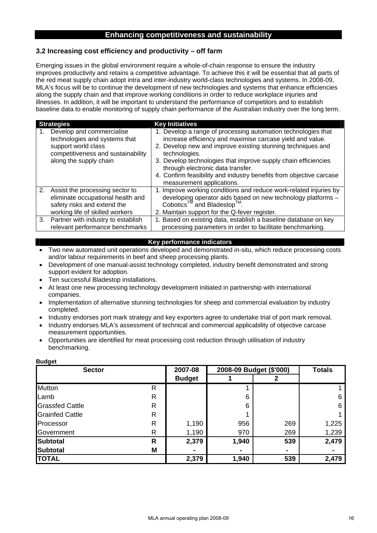## **3.2 Increasing cost efficiency and productivity – off farm**

Emerging issues in the global environment require a whole-of-chain response to ensure the industry improves productivity and retains a competitive advantage. To achieve this it will be essential that all parts of the red meat supply chain adopt intra and inter-industry world-class technologies and systems. In 2008-09, MLA's focus will be to continue the development of new technologies and systems that enhance efficiencies along the supply chain and that improve working conditions in order to reduce workplace injuries and illnesses. In addition, it will be important to understand the performance of competitors and to establish baseline data to enable monitoring of supply chain performance of the Australian industry over the long term.

| <b>Strategies</b>                                                                                                                                 | <b>Key Initiatives</b>                                                                                                                                                                                                                                                                                                                                                                                                |
|---------------------------------------------------------------------------------------------------------------------------------------------------|-----------------------------------------------------------------------------------------------------------------------------------------------------------------------------------------------------------------------------------------------------------------------------------------------------------------------------------------------------------------------------------------------------------------------|
| Develop and commercialise<br>technologies and systems that<br>support world class<br>competitiveness and sustainability<br>along the supply chain | 1. Develop a range of processing automation technologies that<br>increase efficiency and maximise carcase yield and value.<br>2. Develop new and improve existing stunning techniques and<br>technologies.<br>3. Develop technologies that improve supply chain efficiencies<br>through electronic data transfer.<br>4. Confirm feasibility and industry benefits from objective carcase<br>measurement applications. |
| 2. Assist the processing sector to<br>eliminate occupational health and<br>safety risks and extend the<br>working life of skilled workers         | 1. Improve working conditions and reduce work-related injuries by<br>developing operator aids based on new technology platforms -<br>Cobotics <sup>™</sup> and Bladestop™.<br>2. Maintain support for the Q-fever register.                                                                                                                                                                                           |
| 3. Partner with industry to establish<br>relevant performance benchmarks                                                                          | 1. Based on existing data, establish a baseline database on key<br>processing parameters in order to facilitate benchmarking.                                                                                                                                                                                                                                                                                         |

## **Key performance indicators**

- Two new automated unit operations developed and demonstrated in-situ, which reduce processing costs and/or labour requirements in beef and sheep processing plants.
- Development of one manual-assist technology completed, industry benefit demonstrated and strong support evident for adoption.
- Ten successful Bladestop installations.
- At least one new processing technology development initiated in partnership with international companies.
- Implementation of alternative stunning technologies for sheep and commercial evaluation by industry completed.
- Industry endorses port mark strategy and key exporters agree to undertake trial of port mark removal.
- Industry endorses MLA's assessment of technical and commercial applicability of objective carcase measurement opportunities.
- Opportunities are identified for meat processing cost reduction through utilisation of industry benchmarking.

| $\sim$ $\sim$<br><b>Sector</b> | 2007-08      | 2008-09 Budget (\$'000) | <b>Totals</b> |     |       |
|--------------------------------|--------------|-------------------------|---------------|-----|-------|
|                                |              | <b>Budget</b>           |               |     |       |
| Mutton                         | R            |                         |               |     |       |
| Lamb                           | R            |                         | 6             |     | 6     |
| <b>Grassfed Cattle</b>         | R            |                         | 6             |     | 6     |
| <b>Grainfed Cattle</b>         | R            |                         |               |     |       |
| Processor                      | $\mathsf{R}$ | 1,190                   | 956           | 269 | 1,225 |
| Government                     | R            | 1,190                   | 970           | 269 | 1,239 |
| <b>Subtotal</b>                | R            | 2,379                   | 1,940         | 539 | 2,479 |
| <b>Subtotal</b>                | M            |                         |               |     |       |
| <b>TOTAL</b>                   |              | 2,379                   | 1,940         | 539 | 2,479 |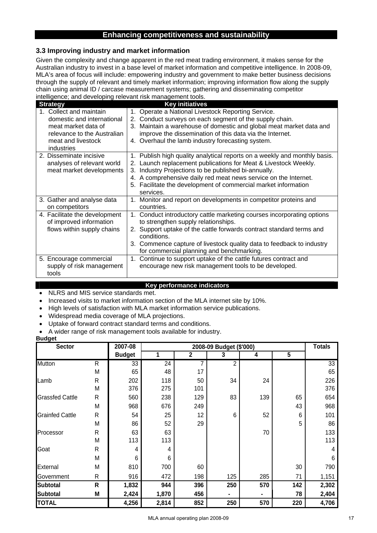## **3.3 Improving industry and market information**

Given the complexity and change apparent in the red meat trading environment, it makes sense for the Australian industry to invest in a base level of market information and competitive intelligence. In 2008-09, MLA's area of focus will include: empowering industry and government to make better business decisions through the supply of relevant and timely market information; improving information flow along the supply chain using animal ID / carcase measurement systems; gathering and disseminating competitor intelligence; and developing relevant risk management tools.

| <b>Strategy</b>                                                                                                                                 | <b>Key initiatives</b>                                                                                                                                                                                                                                                                                                                                 |
|-------------------------------------------------------------------------------------------------------------------------------------------------|--------------------------------------------------------------------------------------------------------------------------------------------------------------------------------------------------------------------------------------------------------------------------------------------------------------------------------------------------------|
| 1. Collect and maintain<br>domestic and international<br>meat market data of<br>relevance to the Australian<br>meat and livestock<br>industries | 1. Operate a National Livestock Reporting Service.<br>2. Conduct surveys on each segment of the supply chain.<br>3. Maintain a warehouse of domestic and global meat market data and<br>improve the dissemination of this data via the Internet.<br>4. Overhaul the lamb industry forecasting system.                                                  |
| 2. Disseminate incisive<br>analyses of relevant world<br>meat market developments                                                               | 1. Publish high quality analytical reports on a weekly and monthly basis.<br>2. Launch replacement publications for Meat & Livestock Weekly.<br>3. Industry Projections to be published bi-annually.<br>4. A comprehensive daily red meat news service on the Internet.<br>5. Facilitate the development of commercial market information<br>services. |
| 3. Gather and analyse data<br>on competitors                                                                                                    | 1. Monitor and report on developments in competitor proteins and<br>countries.                                                                                                                                                                                                                                                                         |
| 4. Facilitate the development<br>of improved information<br>flows within supply chains                                                          | 1. Conduct introductory cattle marketing courses incorporating options<br>to strengthen supply relationships.<br>2. Support uptake of the cattle forwards contract standard terms and<br>conditions.<br>3. Commence capture of livestock quality data to feedback to industry<br>for commercial planning and benchmarking.                             |
| 5. Encourage commercial<br>supply of risk management<br>tools                                                                                   | 1. Continue to support uptake of the cattle futures contract and<br>encourage new risk management tools to be developed.                                                                                                                                                                                                                               |

#### **Key performance indicators**

- NLRS and MIS service standards met.
- Increased visits to market information section of the MLA internet site by 10%.
- High levels of satisfaction with MLA market information service publications.
- Widespread media coverage of MLA projections.
- Uptake of forward contract standard terms and conditions.
- A wider range of risk management tools available for industry.

| <b>Sector</b>          |   | 2007-08       |       | <b>Totals</b> |     |     |     |       |
|------------------------|---|---------------|-------|---------------|-----|-----|-----|-------|
|                        |   | <b>Budget</b> |       | $\mathbf 2$   | 3   | 4   | 5   |       |
| Mutton                 | R | 33            | 24    | 7             | 2   |     |     | 33    |
|                        | М | 65            | 48    | 17            |     |     |     | 65    |
| Lamb                   | R | 202           | 118   | 50            | 34  | 24  |     | 226   |
|                        | М | 376           | 275   | 101           |     |     |     | 376   |
| <b>Grassfed Cattle</b> | R | 560           | 238   | 129           | 83  | 139 | 65  | 654   |
|                        | М | 968           | 676   | 249           |     |     | 43  | 968   |
| <b>Grainfed Cattle</b> | R | 54            | 25    | 12            | 6   | 52  | 6   | 101   |
|                        | М | 86            | 52    | 29            |     |     | 5   | 86    |
| Processor              | R | 63            | 63    |               |     | 70  |     | 133   |
|                        | M | 113           | 113   |               |     |     |     | 113   |
| Goat                   | R | 4             | 4     |               |     |     |     | 4     |
|                        | M | 6             | 6     |               |     |     |     | 6     |
| External               | M | 810           | 700   | 60            |     |     | 30  | 790   |
| Government             | R | 916           | 472   | 198           | 125 | 285 | 71  | 1,151 |
| <b>Subtotal</b>        | R | 1,832         | 944   | 396           | 250 | 570 | 142 | 2,302 |
| <b>Subtotal</b>        | Μ | 2,424         | 1,870 | 456           |     |     | 78  | 2,404 |
| <b>TOTAL</b>           |   | 4,256         | 2,814 | 852           | 250 | 570 | 220 | 4,706 |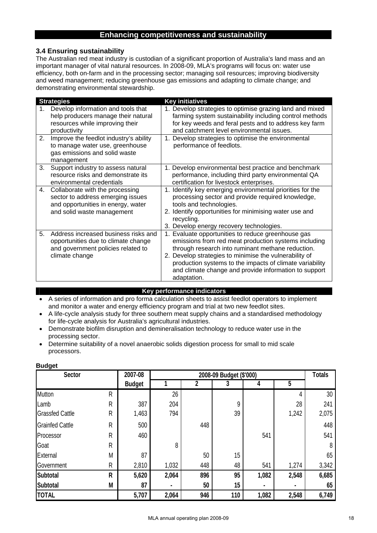## **3.4 Ensuring sustainability**

The Australian red meat industry is custodian of a significant proportion of Australia's land mass and an important manager of vital natural resources. In 2008-09, MLA's programs will focus on: water use efficiency, both on-farm and in the processing sector; managing soil resources; improving biodiversity and weed management; reducing greenhouse gas emissions and adapting to climate change; and demonstrating environmental stewardship.

|    | <b>Strategies</b>                                                                                                                        | <b>Key initiatives</b>                                                                                                                                                                                                                                                                                                                                        |
|----|------------------------------------------------------------------------------------------------------------------------------------------|---------------------------------------------------------------------------------------------------------------------------------------------------------------------------------------------------------------------------------------------------------------------------------------------------------------------------------------------------------------|
|    | Develop information and tools that<br>help producers manage their natural<br>resources while improving their<br>productivity             | 1. Develop strategies to optimise grazing land and mixed<br>farming system sustainability including control methods<br>for key weeds and feral pests and to address key farm<br>and catchment level environmental issues.                                                                                                                                     |
| 2. | Improve the feedlot industry's ability<br>to manage water use, greenhouse<br>gas emissions and solid waste<br>management                 | 1. Develop strategies to optimise the environmental<br>performance of feedlots.                                                                                                                                                                                                                                                                               |
| 3. | Support industry to assess natural<br>resource risks and demonstrate its<br>environmental credentials                                    | 1. Develop environmental best practice and benchmark<br>performance, including third party environmental QA<br>certification for livestock enterprises.                                                                                                                                                                                                       |
| 4. | Collaborate with the processing<br>sector to address emerging issues<br>and opportunities in energy, water<br>and solid waste management | 1. Identify key emerging environmental priorities for the<br>processing sector and provide required knowledge,<br>tools and technologies.<br>2. Identify opportunities for minimising water use and<br>recycling.<br>3. Develop energy recovery technologies.                                                                                                 |
| 5. | Address increased business risks and<br>opportunities due to climate change<br>and government policies related to<br>climate change      | 1. Evaluate opportunities to reduce greenhouse gas<br>emissions from red meat production systems including<br>through research into ruminant methane reduction.<br>2. Develop strategies to minimise the vulnerability of<br>production systems to the impacts of climate variability<br>and climate change and provide information to support<br>adaptation. |

#### **Key performance indicators**

- A series of information and pro forma calculation sheets to assist feedlot operators to implement and monitor a water and energy efficiency program and trial at two new feedlot sites.
- A life-cycle analysis study for three southern meat supply chains and a standardised methodology for life-cycle analysis for Australia's agricultural industries.
- Demonstrate biofilm disruption and demineralisation technology to reduce water use in the processing sector.
- Determine suitability of a novel anaerobic solids digestion process for small to mid scale processors.

| <b>Sector</b>          |              | 2007-08       |       | 2008-09 Budget (\$'000) |     |       |       |       |  |
|------------------------|--------------|---------------|-------|-------------------------|-----|-------|-------|-------|--|
|                        |              | <b>Budget</b> |       | 2                       | 3   | 4     | 5     |       |  |
| Mutton                 | R            |               | 26    |                         |     |       | 4     | 30    |  |
| Lamb                   | $\mathsf{R}$ | 387           | 204   |                         | 9   |       | 28    | 241   |  |
| <b>Grassfed Cattle</b> | $\mathsf{R}$ | 1,463         | 794   |                         | 39  |       | 1,242 | 2,075 |  |
| <b>Grainfed Cattle</b> | $\mathsf{R}$ | 500           |       | 448                     |     |       |       | 448   |  |
| Processor              | $\mathsf{R}$ | 460           |       |                         |     | 541   |       | 541   |  |
| Goat                   | $\mathsf{R}$ |               | 8     |                         |     |       |       | 8     |  |
| External               | M            | 87            |       | 50                      | 15  |       |       | 65    |  |
| Government             | R            | 2,810         | 1,032 | 448                     | 48  | 541   | 1,274 | 3,342 |  |
| <b>Subtotal</b>        | $\mathsf{R}$ | 5,620         | 2,064 | 896                     | 95  | 1,082 | 2,548 | 6,685 |  |
| <b>Subtotal</b>        | M            | 87            |       | 50                      | 15  |       |       | 65    |  |
| <b>TOTAL</b>           |              | 5,707         | 2,064 | 946                     | 110 | 1,082 | 2,548 | 6,749 |  |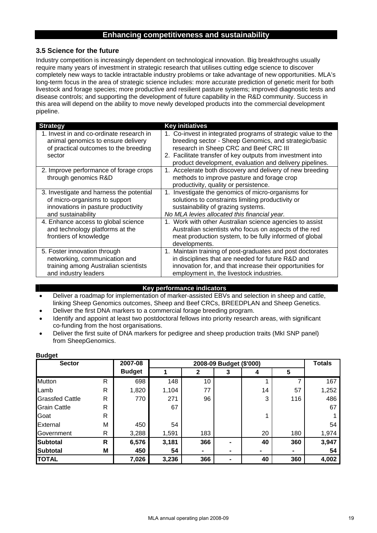## **3.5 Science for the future**

Industry competition is increasingly dependent on technological innovation. Big breakthroughs usually require many years of investment in strategic research that utilises cutting edge science to discover completely new ways to tackle intractable industry problems or take advantage of new opportunities. MLA's long-term focus in the area of strategic science includes: more accurate prediction of genetic merit for both livestock and forage species; more productive and resilient pasture systems; improved diagnostic tests and disease controls; and supporting the development of future capability in the R&D community. Success in this area will depend on the ability to move newly developed products into the commercial development pipeline.

| <b>Strategy</b>                                                                                                                        | <b>Key initiatives</b>                                                                                                                                                                                                                                                                    |
|----------------------------------------------------------------------------------------------------------------------------------------|-------------------------------------------------------------------------------------------------------------------------------------------------------------------------------------------------------------------------------------------------------------------------------------------|
| 1. Invest in and co-ordinate research in<br>animal genomics to ensure delivery<br>of practical outcomes to the breeding<br>sector      | 1. Co-invest in integrated programs of strategic value to the<br>breeding sector - Sheep Genomics, and strategic/basic<br>research in Sheep CRC and Beef CRC III<br>2. Facilitate transfer of key outputs from investment into<br>product development, evaluation and delivery pipelines. |
| 2. Improve performance of forage crops<br>through genomics R&D                                                                         | 1. Accelerate both discovery and delivery of new breeding<br>methods to improve pasture and forage crop<br>productivity, quality or persistence.                                                                                                                                          |
| 3. Investigate and harness the potential<br>of micro-organisms to support<br>innovations in pasture productivity<br>and sustainability | 1. Investigate the genomics of micro-organisms for<br>solutions to constraints limiting productivity or<br>sustainability of grazing systems.<br>No MLA levies allocated this financial year.                                                                                             |
| 4. Enhance access to global science<br>and technology platforms at the<br>frontiers of knowledge                                       | 1. Work with other Australian science agencies to assist<br>Australian scientists who focus on aspects of the red<br>meat production system, to be fully informed of global<br>developments.                                                                                              |
| 5. Foster innovation through<br>networking, communication and<br>training among Australian scientists<br>and industry leaders          | 1. Maintain training of post-graduates and post doctorates<br>in disciplines that are needed for future R&D and<br>innovation for, and that increase their opportunities for<br>employment in, the livestock industries.                                                                  |

## **Key performance indicators**

• Deliver a roadmap for implementation of marker-assisted EBVs and selection in sheep and cattle, linking Sheep Genomics outcomes, Sheep and Beef CRCs, BREEDPLAN and Sheep Genetics.

• Deliver the first DNA markers to a commercial forage breeding program.

• Identify and appoint at least two postdoctoral fellows into priority research areas, with significant co-funding from the host organisations.

• Deliver the first suite of DNA markers for pedigree and sheep production traits (MkI SNP panel) from SheepGenomics.

| <b>Sector</b>          |              | 2007-08       |       | 2008-09 Budget (\$'000) |   |    |     |       |  |  |
|------------------------|--------------|---------------|-------|-------------------------|---|----|-----|-------|--|--|
|                        |              | <b>Budget</b> |       | 2                       | 3 | 4  | 5   |       |  |  |
| <b>Mutton</b>          | R            | 698           | 148   | 10                      |   |    |     | 167   |  |  |
| Lamb                   | R            | 1,820         | 1,104 | 77                      |   | 14 | 57  | 1,252 |  |  |
| <b>Grassfed Cattle</b> | R            | 770           | 271   | 96                      |   | 3  | 116 | 486   |  |  |
| <b>Grain Cattle</b>    | R            |               | 67    |                         |   |    |     | 67    |  |  |
| Goat                   | R            |               |       |                         |   |    |     |       |  |  |
| External               | M            | 450           | 54    |                         |   |    |     | 54    |  |  |
| Government             | R            | 3,288         | 1,591 | 183                     |   | 20 | 180 | 1,974 |  |  |
| <b>Subtotal</b>        | $\mathsf{R}$ | 6,576         | 3,181 | 366                     |   | 40 | 360 | 3,947 |  |  |
| <b>Subtotal</b>        | M            | 450           | 54    |                         |   | ۰  |     | 54    |  |  |
| <b>TOTAL</b>           |              | 7,026         | 3,236 | 366                     |   | 40 | 360 | 4,002 |  |  |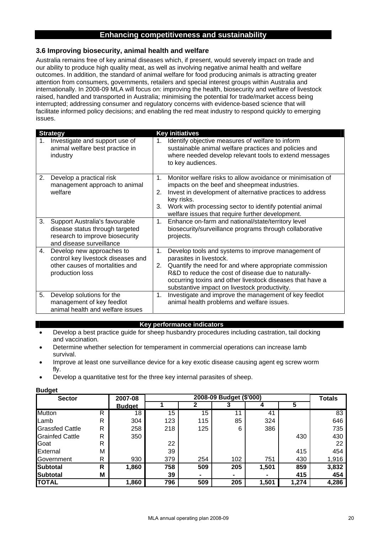## **3.6 Improving biosecurity, animal health and welfare**

Australia remains free of key animal diseases which, if present, would severely impact on trade and our ability to produce high quality meat, as well as involving negative animal health and welfare outcomes. In addition, the standard of animal welfare for food producing animals is attracting greater attention from consumers, governments, retailers and special interest groups within Australia and internationally. In 2008-09 MLA will focus on: improving the health, biosecurity and welfare of livestock raised, handled and transported in Australia; minimising the potential for trade/market access being interrupted; addressing consumer and regulatory concerns with evidence-based science that will facilitate informed policy decisions; and enabling the red meat industry to respond quickly to emerging issues.

|    | <b>Strategy</b>                                                                                                                  |                          | <b>Key initiatives</b>                                                                                                                                                                                                                                                                                       |
|----|----------------------------------------------------------------------------------------------------------------------------------|--------------------------|--------------------------------------------------------------------------------------------------------------------------------------------------------------------------------------------------------------------------------------------------------------------------------------------------------------|
|    | Investigate and support use of<br>animal welfare best practice in<br>industry                                                    | 1.                       | Identify objective measures of welfare to inform<br>sustainable animal welfare practices and policies and<br>where needed develop relevant tools to extend messages<br>to key audiences.                                                                                                                     |
| 2. | Develop a practical risk<br>management approach to animal<br>welfare                                                             | $\mathbf{1}$<br>2.<br>3. | Monitor welfare risks to allow avoidance or minimisation of<br>impacts on the beef and sheepmeat industries.<br>Invest in development of alternative practices to address<br>key risks.<br>Work with processing sector to identify potential animal<br>welfare issues that require further development.      |
| 3. | Support Australia's favourable<br>disease status through targeted<br>research to improve biosecurity<br>and disease surveillance | 1.                       | Enhance on-farm and national/state/territory level<br>biosecurity/surveillance programs through collaborative<br>projects.                                                                                                                                                                                   |
| 4. | Develop new approaches to<br>control key livestock diseases and<br>other causes of mortalities and<br>production loss            | $\mathbf{1}$ .<br>2.     | Develop tools and systems to improve management of<br>parasites in livestock.<br>Quantify the need for and where appropriate commission<br>R&D to reduce the cost of disease due to naturally-<br>occurring toxins and other livestock diseases that have a<br>substantive impact on livestock productivity. |
| 5. | Develop solutions for the<br>management of key feedlot<br>animal health and welfare issues                                       | 1 <sub>1</sub>           | Investigate and improve the management of key feedlot<br>animal health problems and welfare issues.                                                                                                                                                                                                          |

#### **Key performance indicators**

- Develop a best practice guide for sheep husbandry procedures including castration, tail docking and vaccination.
- Determine whether selection for temperament in commercial operations can increase lamb survival.
- Improve at least one surveillance device for a key exotic disease causing agent eg screw worm fly.
- Develop a quantitative test for the three key internal parasites of sheep.

| -- - - - -<br><b>Sector</b> |   | 2007-08       |     | <b>Totals</b> |     |       |       |       |
|-----------------------------|---|---------------|-----|---------------|-----|-------|-------|-------|
|                             |   | <b>Budget</b> |     |               |     |       | 5     |       |
| <b>Mutton</b>               | R | 18            | 15  | 15            | 11  | 41    |       | 83    |
| Lamb                        | R | 304           | 123 | 115           | 85  | 324   |       | 646   |
| <b>Grassfed Cattle</b>      | R | 258           | 218 | 125           | 6   | 386   |       | 735   |
| <b>Grainfed Cattle</b>      | R | 350           |     |               |     |       | 430   | 430   |
| Goat                        | R |               | 22  |               |     |       |       | 22    |
| External                    | M |               | 39  |               |     |       | 415   | 454   |
| Government                  | R | 930           | 379 | 254           | 102 | 751   | 430   | 1,916 |
| Subtotal                    | R | 1,860         | 758 | 509           | 205 | 1,501 | 859   | 3,832 |
| <b>Subtotal</b>             | М |               | 39  |               |     |       | 415   | 454   |
| <b>TOTAL</b>                |   | 1,860         | 796 | 509           | 205 | 1,501 | 1,274 | 4,286 |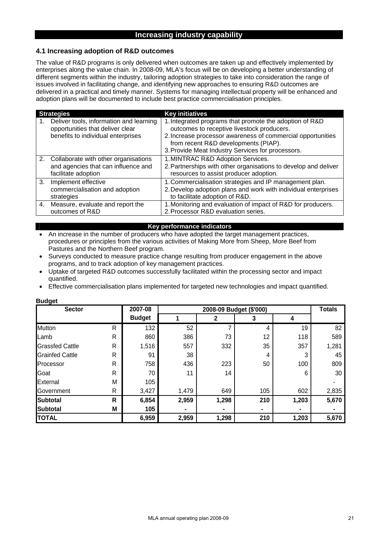## **Increasing industry capability**

#### **4.1 Increasing adoption of R&D outcomes**

The value of R&D programs is only delivered when outcomes are taken up and effectively implemented by enterprises along the value chain. In 2008-09, MLA's focus will be on developing a better understanding of different segments within the industry, tailoring adoption strategies to take into consideration the range of issues involved in facilitating change, and identifying new approaches to ensuring R&D outcomes are delivered in a practical and timely manner. Systems for managing intellectual property will be enhanced and adoption plans will be documented to include best practice commercialisation principles.

| <b>Strategies</b>                                                                                                 | <b>Key initiatives</b>                                                                                                                                                                                                                                            |
|-------------------------------------------------------------------------------------------------------------------|-------------------------------------------------------------------------------------------------------------------------------------------------------------------------------------------------------------------------------------------------------------------|
| Deliver tools, information and learning<br>opportunities that deliver clear<br>benefits to individual enterprises | 1. Integrated programs that promote the adoption of R&D<br>outcomes to receptive livestock producers.<br>2. Increase processor awareness of commercial opportunities<br>from recent R&D developments (PIAP).<br>3. Provide Meat Industry Services for processors. |
| 2. Collaborate with other organisations<br>and agencies that can influence and<br>facilitate adoption             | 1. MINTRAC R&D Adoption Services.<br>2. Partnerships with other organisations to develop and deliver<br>resources to assist producer adoption.                                                                                                                    |
| 3. Implement effective<br>commercialisation and adoption<br>strategies                                            | 1. Commercialisation strategies and IP management plan.<br>2. Develop adoption plans and work with individual enterprises<br>to facilitate adoption of R&D.                                                                                                       |
| 4. Measure, evaluate and report the<br>outcomes of R&D                                                            | 1. Monitoring and evaluation of impact of R&D for producers.<br>2. Processor R&D evaluation series.                                                                                                                                                               |

#### **Key performance indicators**

- An increase in the number of producers who have adopted the target management practices, procedures or principles from the various activities of Making More from Sheep, More Beef from Pastures and the Northern Beef program.
- Surveys conducted to measure practice change resulting from producer engagement in the above programs, and to track adoption of key management practices.
- Uptake of targeted R&D outcomes successfully facilitated within the processing sector and impact quantified.
- Effective commercialisation plans implemented for targeted new technologies and impact quantified.

| <b>Sector</b>          |   | 2007-08       |       |              | <b>Totals</b> |       |       |
|------------------------|---|---------------|-------|--------------|---------------|-------|-------|
|                        |   | <b>Budget</b> |       | $\mathbf{2}$ | 3             | 4     |       |
| <b>Mutton</b>          | R | 132           | 52    |              | 4             | 19    | 82    |
| Lamb                   | R | 860           | 386   | 73           | 12            | 118   | 589   |
| <b>Grassfed Cattle</b> | R | 1,516         | 557   | 332          | 35            | 357   | 1,281 |
| <b>Grainfed Cattle</b> | R | 91            | 38    |              | 4             | 3     | 45    |
| Processor              | R | 758           | 436   | 223          | 50            | 100   | 809   |
| Goat                   | R | 70            | 11    | 14           |               | 6     | 30    |
| External               | M | 105           |       |              |               |       |       |
| Government             | R | 3,427         | 1,479 | 649          | 105           | 602   | 2,835 |
| <b>Subtotal</b>        | R | 6,854         | 2,959 | 1,298        | 210           | 1,203 | 5,670 |
| <b>Subtotal</b>        | M | 105           | ۰     |              |               |       |       |
| <b>TOTAL</b>           |   | 6,959         | 2,959 | 1,298        | 210           | 1,203 | 5,670 |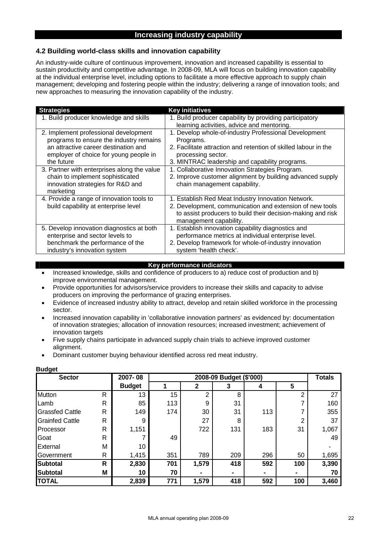## **Increasing industry capability**

## **4.2 Building world-class skills and innovation capability**

An industry-wide culture of continuous improvement, innovation and increased capability is essential to sustain productivity and competitive advantage. In 2008-09, MLA will focus on building innovation capability at the individual enterprise level, including options to facilitate a more effective approach to supply chain management; developing and fostering people within the industry; delivering a range of innovation tools; and new approaches to measuring the innovation capability of the industry.

| <b>Strategies</b>                                                                                                                                                                | <b>Key initiatives</b>                                                                                                                                                                                        |
|----------------------------------------------------------------------------------------------------------------------------------------------------------------------------------|---------------------------------------------------------------------------------------------------------------------------------------------------------------------------------------------------------------|
| 1. Build producer knowledge and skills                                                                                                                                           | 1. Build producer capability by providing participatory<br>learning activities, advice and mentoring.                                                                                                         |
| 2. Implement professional development<br>programs to ensure the industry remains<br>an attractive career destination and<br>employer of choice for young people in<br>the future | 1. Develop whole-of-industry Professional Development<br>Programs.<br>2. Facilitate attraction and retention of skilled labour in the<br>processing sector.<br>3. MINTRAC leadership and capability programs. |
| 3. Partner with enterprises along the value<br>chain to implement sophisticated<br>innovation strategies for R&D and<br>marketing                                                | 1. Collaborative Innovation Strategies Program.<br>2. Improve customer alignment by building advanced supply<br>chain management capability.                                                                  |
| 4. Provide a range of innovation tools to<br>build capability at enterprise level                                                                                                | 1. Establish Red Meat Industry Innovation Network.<br>2. Development, communication and extension of new tools<br>to assist producers to build their decision-making and risk<br>management capability.       |
| 5. Develop innovation diagnostics at both<br>enterprise and sector levels to<br>benchmark the performance of the<br>industry's innovation system                                 | 1. Establish innovation capability diagnostics and<br>performance metrics at individual enterprise level.<br>2. Develop framework for whole-of-industry innovation<br>system 'health check'.                  |

#### **Key performance indicators**

- Increased knowledge, skills and confidence of producers to a) reduce cost of production and b) improve environmental management.
- Provide opportunities for advisors/service providers to increase their skills and capacity to advise producers on improving the performance of grazing enterprises.
- Evidence of increased industry ability to attract, develop and retain skilled workforce in the processing sector.
- Increased innovation capability in 'collaborative innovation partners' as evidenced by: documentation of innovation strategies; allocation of innovation resources; increased investment; achievement of innovation targets
- Five supply chains participate in advanced supply chain trials to achieve improved customer alignment.
- Dominant customer buying behaviour identified across red meat industry.

| <b>Sector</b>          |              | 2007-08       |     | 2008-09 Budget (\$'000) |     |     |     |       |  |  |  |  |  |  |
|------------------------|--------------|---------------|-----|-------------------------|-----|-----|-----|-------|--|--|--|--|--|--|
|                        |              | <b>Budget</b> |     | 2                       | 3   | 4   | 5   |       |  |  |  |  |  |  |
| <b>Mutton</b>          | R            | 13            | 15  | າ                       | 8   |     | 2   | 27    |  |  |  |  |  |  |
| Lamb                   | R            | 85            | 113 | 9                       | 31  |     |     | 160   |  |  |  |  |  |  |
| <b>Grassfed Cattle</b> | R            | 149           | 174 | 30                      | 31  | 113 |     | 355   |  |  |  |  |  |  |
| <b>Grainfed Cattle</b> | R            | 9             |     | 27                      | 8   |     | 2   | 37    |  |  |  |  |  |  |
| Processor              | R            | 1,151         |     | 722                     | 131 | 183 | 31  | 1,067 |  |  |  |  |  |  |
| Goat                   | R            |               | 49  |                         |     |     |     | 49    |  |  |  |  |  |  |
| External               | M            | 10            |     |                         |     |     |     |       |  |  |  |  |  |  |
| Government             | R            | 1,415         | 351 | 789                     | 209 | 296 | 50  | 1,695 |  |  |  |  |  |  |
| <b>Subtotal</b>        | $\mathsf{R}$ | 2,830         | 701 | 1,579                   | 418 | 592 | 100 | 3,390 |  |  |  |  |  |  |
| <b>Subtotal</b>        | M            | 10            | 70  | ۰                       |     |     |     | 70    |  |  |  |  |  |  |
| <b>TOTAL</b>           |              | 2,839         | 771 | 1,579                   | 418 | 592 | 100 | 3,460 |  |  |  |  |  |  |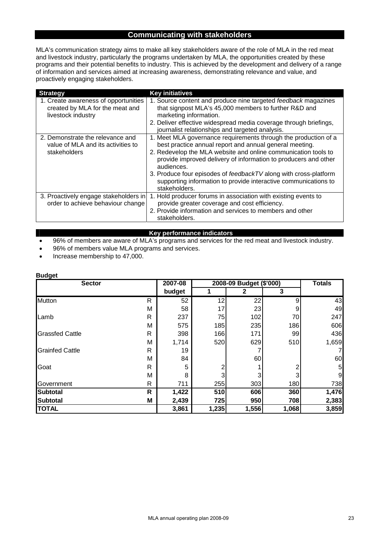## **Communicating with stakeholders**

MLA's communication strategy aims to make all key stakeholders aware of the role of MLA in the red meat and livestock industry, particularly the programs undertaken by MLA, the opportunities created by these programs and their potential benefits to industry. This is achieved by the development and delivery of a range of information and services aimed at increasing awareness, demonstrating relevance and value, and proactively engaging stakeholders.

| <b>Strategy</b>                                                                               | <b>Key initiatives</b>                                                                                                                                                                                                                                                                                                                                                                                                                |
|-----------------------------------------------------------------------------------------------|---------------------------------------------------------------------------------------------------------------------------------------------------------------------------------------------------------------------------------------------------------------------------------------------------------------------------------------------------------------------------------------------------------------------------------------|
| 1. Create awareness of opportunities<br>created by MLA for the meat and<br>livestock industry | 1. Source content and produce nine targeted feedback magazines<br>that signpost MLA's 45,000 members to further R&D and<br>marketing information.<br>2. Deliver effective widespread media coverage through briefings,<br>journalist relationships and targeted analysis.                                                                                                                                                             |
| 2. Demonstrate the relevance and<br>value of MLA and its activities to<br>stakeholders        | 1. Meet MLA governance requirements through the production of a<br>best practice annual report and annual general meeting.<br>2. Redevelop the MLA website and online communication tools to<br>provide improved delivery of information to producers and other<br>audiences.<br>3. Produce four episodes of feedbackTV along with cross-platform<br>supporting information to provide interactive communications to<br>stakeholders. |
| 3. Proactively engage stakeholders in<br>order to achieve behaviour change                    | 1. Hold producer forums in association with existing events to<br>provide greater coverage and cost efficiency.<br>2. Provide information and services to members and other<br>stakeholders.                                                                                                                                                                                                                                          |

#### **Key performance indicators**

• 96% of members are aware of MLA's programs and services for the red meat and livestock industry.

- 96% of members value MLA programs and services.
- Increase membership to 47,000.

| <b>Sector</b>          |   | 2007-08 | 2008-09 Budget (\$'000) | <b>Totals</b> |       |       |
|------------------------|---|---------|-------------------------|---------------|-------|-------|
|                        |   | budget  |                         | $\mathbf{2}$  | 3     |       |
| <b>Mutton</b>          | R | 52      | 12                      | 22            | 9     | 43    |
|                        | М | 58      | 17                      | 23            |       | 49    |
| Lamb                   | R | 237     | 75                      | 102           | 70    | 247   |
|                        | M | 575     | 185                     | 235           | 186   | 606   |
| <b>Grassfed Cattle</b> | R | 398     | 166                     | 171           | 99    | 436   |
|                        | M | 1,714   | 520                     | 629           | 510   | 1,659 |
| <b>Grainfed Cattle</b> | R | 19      |                         |               |       |       |
|                        | M | 84      |                         | 60            |       | 60    |
| Goat                   | R | 5       | っ                       |               |       | 5     |
|                        | M | 8       |                         |               |       | 9     |
| Government             | R | 711     | 255                     | 303           | 180   | 738   |
| <b>Subtotal</b>        | R | 1,422   | 510                     | 606           | 360   | 1,476 |
| <b>Subtotal</b>        | M | 2,439   | 725                     | 950           | 708   | 2,383 |
| <b>TOTAL</b>           |   | 3,861   | 1,235                   | 1,556         | 1,068 | 3,859 |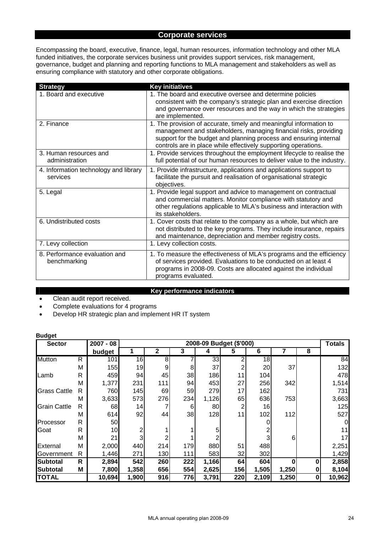## **Corporate services**

Encompassing the board, executive, finance, legal, human resources, information technology and other MLA funded initiatives, the corporate services business unit provides support services, risk management, governance, budget and planning and reporting functions to MLA management and stakeholders as well as ensuring compliance with statutory and other corporate obligations.

| <b>Strategy</b>                                   | <b>Key initiatives</b>                                                                                                                                                                                                                                                        |
|---------------------------------------------------|-------------------------------------------------------------------------------------------------------------------------------------------------------------------------------------------------------------------------------------------------------------------------------|
| 1. Board and executive                            | 1. The board and executive oversee and determine policies<br>consistent with the company's strategic plan and exercise direction<br>and governance over resources and the way in which the strategies<br>are implemented.                                                     |
| 2. Finance                                        | 1. The provision of accurate, timely and meaningful information to<br>management and stakeholders, managing financial risks, providing<br>support for the budget and planning process and ensuring internal<br>controls are in place while effectively supporting operations. |
| 3. Human resources and<br>administration          | 1. Provide services throughout the employment lifecycle to realise the<br>full potential of our human resources to deliver value to the industry.                                                                                                                             |
| 4. Information technology and library<br>services | 1. Provide infrastructure, applications and applications support to<br>facilitate the pursuit and realisation of organisational strategic<br>objectives.                                                                                                                      |
| 5. Legal                                          | 1. Provide legal support and advice to management on contractual<br>and commercial matters. Monitor compliance with statutory and<br>other regulations applicable to MLA's business and interaction with<br>its stakeholders.                                                 |
| 6. Undistributed costs                            | 1. Cover costs that relate to the company as a whole, but which are<br>not distributed to the key programs. They include insurance, repairs<br>and maintenance, depreciation and member registry costs.                                                                       |
| 7. Levy collection                                | 1. Levy collection costs.                                                                                                                                                                                                                                                     |
| 8. Performance evaluation and<br>benchmarking     | 1. To measure the effectiveness of MLA's programs and the efficiency<br>of services provided. Evaluations to be conducted on at least 4<br>programs in 2008-09. Costs are allocated against the individual<br>programs evaluated.                                             |

#### **Key performance indicators**

- Clean audit report received.
- Complete evaluations for 4 programs
- Develop HR strategic plan and implement HR IT system

| <b>Sector</b>       |   | $2007 - 08$ |                 |     |                  | 2008-09 Budget (\$'000) |     |       |              |   | <b>Totals</b> |
|---------------------|---|-------------|-----------------|-----|------------------|-------------------------|-----|-------|--------------|---|---------------|
|                     |   | budget      |                 | 2   | 3                | 4                       | 5   | 6     |              | 8 |               |
| <b>Mutton</b>       | R | 101         | 16 <sup>1</sup> | 8   |                  | 33                      | 2   | 18    |              |   | 84            |
|                     | M | 155         | 19              | 9   | 8                | 37                      | 2   | 20    | 37           |   | 132           |
| Lamb                | R | 459         | 94              | 45  | 38               | 186                     | 11  | 104   |              |   | 478           |
|                     | M | 1,377       | 231             | 111 | 94               | 453                     | 27  | 256   | 342          |   | 1,514         |
| <b>Grass Cattle</b> | R | 760         | 145             | 69  | 59               | 279                     | 17  | 162   |              |   | 731           |
|                     | M | 3,633       | 573             | 276 | 234              | 1,126                   | 65  | 636   | 753          |   | 3,663         |
| <b>Grain Cattle</b> | R | 68          | 4               |     | 6                | 80 <sub>l</sub>         | 2   | 16    |              |   | 125           |
|                     | M | 614         | 92              | 44  | 38               | 128                     | 11  | 102   | 112          |   | 527           |
| Processor           | R | 50          |                 |     |                  |                         |     |       |              |   |               |
| Goat                | R | 10          | 2               |     |                  | 5                       |     |       |              |   | 11            |
|                     | M | 21          | 3               |     |                  |                         |     |       | 6            |   | 17            |
| External            | M | 2,000       | 440             | 214 | 179              | 880                     | 51  | 488   |              |   | 2,251         |
| Government          | R | 1,446       | 271             | 130 | 111              | 583                     | 32  | 302   |              |   | 1,429         |
| <b>Subtotal</b>     | R | 2,894       | 542             | 260 | $\overline{222}$ | 1,166                   | 64  | 604   | $\mathbf{0}$ |   | 2,858         |
| Subtotal            | M | 7,800       | 1,358           | 656 | 554              | 2,625                   | 156 | 1,505 | 1,250        |   | 8,104         |
| <b>TOTAL</b>        |   | 10,694      | 1,900           | 916 | 776              | 3,791                   | 220 | 2,109 | 1,250        | 0 | 10,962        |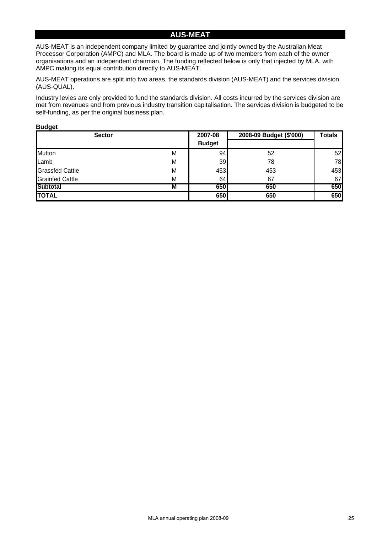## **AUS-MEAT**

AUS-MEAT is an independent company limited by guarantee and jointly owned by the Australian Meat Processor Corporation (AMPC) and MLA. The board is made up of two members from each of the owner organisations and an independent chairman. The funding reflected below is only that injected by MLA, with AMPC making its equal contribution directly to AUS-MEAT.

AUS-MEAT operations are split into two areas, the standards division (AUS-MEAT) and the services division (AUS-QUAL).

Industry levies are only provided to fund the standards division. All costs incurred by the services division are met from revenues and from previous industry transition capitalisation. The services division is budgeted to be self-funding, as per the original business plan.

| <b>Sector</b>          | 2007-08 | 2008-09 Budget (\$'000) | <b>Totals</b> |     |
|------------------------|---------|-------------------------|---------------|-----|
|                        |         | <b>Budget</b>           |               |     |
| Mutton                 | M       | 94                      | 52            | 52  |
| Lamb                   | M       | 39                      | 78            | 78  |
| <b>Grassfed Cattle</b> | M       | 453                     | 453           | 453 |
| <b>Grainfed Cattle</b> | M       | 64                      | 67            | 67  |
| Subtotal               | M       | <b>6501</b>             | 650           | 650 |
| <b>TOTAL</b>           |         | 650                     | 650           | 650 |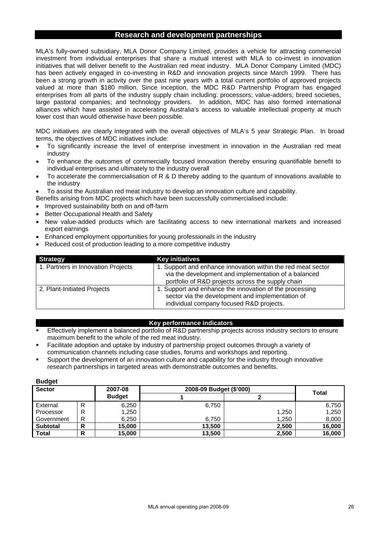#### **Research and development partnerships**

MLA's fully-owned subsidiary, MLA Donor Company Limited, provides a vehicle for attracting commercial investment from individual enterprises that share a mutual interest with MLA to co-invest in innovation initiatives that will deliver benefit to the Australian red meat industry. MLA Donor Company Limited (MDC) has been actively engaged in co-investing in R&D and innovation projects since March 1999. There has been a strong growth in activity over the past nine years with a total current portfolio of approved projects valued at more than \$180 million. Since inception, the MDC R&D Partnership Program has engaged enterprises from all parts of the industry supply chain including: processors; value-adders; breed societies, large pastoral companies; and technology providers. In addition, MDC has also formed international alliances which have assisted in accelerating Australia's access to valuable intellectual property at much lower cost than would otherwise have been possible.

MDC initiatives are clearly integrated with the overall objectives of MLA's 5 year Strategic Plan. In broad terms, the objectives of MDC initiatives include:

- To significantly increase the level of enterprise investment in innovation in the Australian red meat industry
- To enhance the outcomes of commercially focused innovation thereby ensuring quantifiable benefit to individual enterprises and ultimately to the industry overall
- To accelerate the commercialisation of R & D thereby adding to the quantum of innovations available to the industry
- To assist the Australian red meat industry to develop an innovation culture and capability.
- Benefits arising from MDC projects which have been successfully commercialised include:
- Improved sustainability both on and off-farm
- Better Occupational Health and Safety

**Budget** 

- New value-added products which are facilitating access to new international markets and increased export earnings
- Enhanced employment opportunities for young professionals in the industry
- Reduced cost of production leading to a more competitive industry

| <b>Strategy</b>                    | <b>Key initiatives</b>                                       |
|------------------------------------|--------------------------------------------------------------|
| 1. Partners in Innovation Projects | 1. Support and enhance innovation within the red meat sector |
|                                    | via the development and implementation of a balanced         |
|                                    | portfolio of R&D projects across the supply chain            |
| 2. Plant-Initiated Projects        | 1. Support and enhance the innovation of the processing      |
|                                    | sector via the development and implementation of             |
|                                    | individual company focused R&D projects.                     |

#### **Key performance indicators**

- Effectively implement a balanced portfolio of R&D partnership projects across industry sectors to ensure maximum benefit to the whole of the red meat industry.
- Facilitate adoption and uptake by industry of partnership project outcomes through a variety of communication channels including case studies, forums and workshops and reporting.
- Support the development of an innovation culture and capability for the industry through innovative research partnerships in targeted areas with demonstrable outcomes and benefits.

| <b>Duuyot</b>   |        |               |                         |              |        |  |  |
|-----------------|--------|---------------|-------------------------|--------------|--------|--|--|
| <b>Sector</b>   |        | 2007-08       | 2008-09 Budget (\$'000) | <b>Total</b> |        |  |  |
|                 |        | <b>Budget</b> |                         |              |        |  |  |
| External        | R      | 6,250         | 6.750                   |              | 6,750  |  |  |
| Processor       | R      | 1,250         |                         | 1,250        | 1,250  |  |  |
| Government      | R      | 6,250         | 6.750                   | 1.250        | 8,000  |  |  |
| <b>Subtotal</b> | D<br>n | 15,000        | 13,500                  | 2,500        | 16,000 |  |  |
| <b>Total</b>    | D      | 15,000        | 13,500                  | 2,500        | 16,000 |  |  |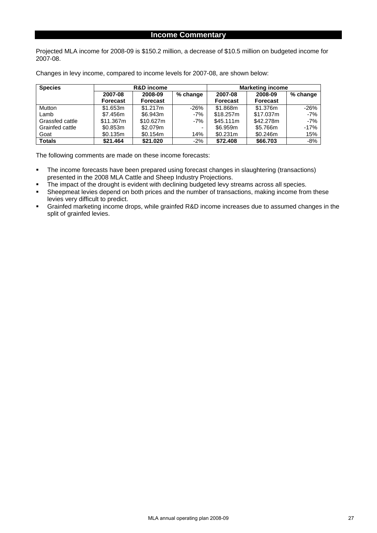## **Income Commentary**

Projected MLA income for 2008-09 is \$150.2 million, a decrease of \$10.5 million on budgeted income for 2007-08.

| <b>Species</b>  |                 | <b>R&amp;D</b> income |          | <b>Marketing income</b> |                 |          |  |  |  |  |  |
|-----------------|-----------------|-----------------------|----------|-------------------------|-----------------|----------|--|--|--|--|--|
|                 | 2007-08         | 2008-09               | % change | 2007-08                 | 2008-09         | % change |  |  |  |  |  |
|                 | <b>Forecast</b> | <b>Forecast</b>       |          | Forecast                | <b>Forecast</b> |          |  |  |  |  |  |
| Mutton          | \$1.653m        | \$1.217m              | $-26%$   | \$1.868m                | \$1.376m        | $-26%$   |  |  |  |  |  |
| Lamb            | \$7.456m        | \$6.943m              | $-7%$    | \$18,257m               | \$17.037m       | $-7%$    |  |  |  |  |  |
| Grassfed cattle | \$11.367m       | \$10.627m             | $-7%$    | \$45.111m               | \$42,278m       | $-7%$    |  |  |  |  |  |
| Grainfed cattle | \$0.853m        | \$2.079m              |          | \$6.959m                | \$5.766m        | $-17%$   |  |  |  |  |  |
| Goat            | \$0.135m        | \$0.154m              | 14%      | \$0.231m                | \$0.246m        | 15%      |  |  |  |  |  |
| <b>Totals</b>   | \$21,464        | \$21.020              | $-2%$    | \$72,408                | \$66,703        | $-8%$    |  |  |  |  |  |

Changes in levy income, compared to income levels for 2007-08, are shown below:

The following comments are made on these income forecasts:

- The income forecasts have been prepared using forecast changes in slaughtering (transactions) presented in the 2008 MLA Cattle and Sheep Industry Projections.
- The impact of the drought is evident with declining budgeted levy streams across all species.<br>
Sheepmeat levies depend on both prices and the number of transactions making income from
- Sheepmeat levies depend on both prices and the number of transactions, making income from these levies very difficult to predict.
- Grainfed marketing income drops, while grainfed R&D income increases due to assumed changes in the split of grainfed levies.